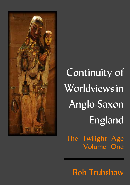

The Twilight Age Volume One

Bob Trubshaw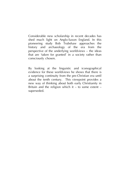Considerable new scholarship in recent decades has shed much light on Anglo-Saxon England. In this pioneering study Bob Trubshaw approaches the history and archaeology of the era from the perspective of the underlying worldviews – the ideas that are 'taken for granted' in a society rather than consciously chosen.

By looking at the linguistic and iconographical evidence for these worldviews he shows that there is a surprising continuity from the pre-Christian era until about the tenth century. This viewpoint provides a new way of thinking about both early Christianity in Britain and the religion which it – to some extent – superseded.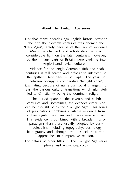#### **About The Twilight Age series**

Not that many decades ago English history between the fifth the eleventh centuries was deemed the 'Dark Ages', largely because of the lack of evidence. Much has changed, and scholarship has shed considerable light on the later centuries. However, by then, many parts of Britain were evolving into Anglo-Scandinavian culture.

Evidence for the Anglo-Germanic fifth and sixth centuries is still scarce and difficult to interpret, so the epithet 'Dark Ages' is still apt. The years in between occupy a comparative 'twilight zone', fascinating because of numerous social changes, not least the various cultural transitions which ultimately led to Christianity being the dominant religion.

The period spanning the seventh and eighth centuries and, sometimes, the decades either side can be thought of as the 'Twilight Age'. This series of publications combines available evidence from archaeologists, historians and place-name scholars. This evidence is combined with a broader mix of paradigms than those usually adopted by early medievalists, including topography, cosmology, iconography and ethnography – especially current approaches to comparative religion.

For details of other titles in The Twilight Age series please visit www.hoap.co.uk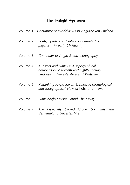#### **The Twilight Age series**

- Volume 1: *Continuity of Worldviews in Anglo-Saxon England*
- Volume 2: *Souls, Spirits and Deities: Continuity from paganism in early Christianity*
- Volume 3: *Continuity of Anglo-Saxon Iconography*
- Volume 4: *Minsters and Valleys: A topographical comparison of seventh and eighth century land use in Leicestershire and Wiltshire*
- Volume 5: *Rethinking Anglo-Saxon Shrines: A cosmological and topographical view of* hohs *and* hlaws
- Volume 6: *How Anglo-Saxons Found Their Way*
- Volume 7: *The Especially Sacred Grove: Six Hills and Vernemetum, Leicestershire*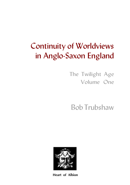The Twilight Age Volume One

Bob Trubshaw



**Heart of Albion**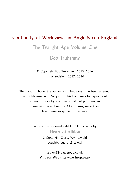#### The Twilight Age Volume One

Bob Trubshaw

© Copyright Bob Trubshaw 2013; 2016 minor revisions 2017; 2020

The moral rights of the author and illustrators have been asserted. All rights reserved. No part of this book may be reproduced in any form or by any means without prior written permission from Heart of Albion Press, except for brief passages quoted in reviews.

> Published as a downloadable PDF file only by: **Heart of Albion**

> > 2 Cross Hill Close, Wymeswold Loughborough, LE12 6UJ

albion@indigogroup.co.uk **Visit our Web site: www.hoap.co.uk**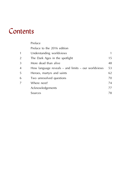# Contents

|   | Preface                                                |    |
|---|--------------------------------------------------------|----|
|   | Preface to the 2016 edition                            |    |
| 1 | Understanding worldviews                               |    |
| 2 | The Dark Ages in the spotlight                         | 15 |
| 3 | More dead than alive                                   | 48 |
| 4 | How language reveals $-$ and limits $-$ our worldviews | 53 |
| 5 | Heroes, martyrs and saints                             | 62 |
| 6 | Two unresolved questions                               | 70 |
| 7 | Where next?                                            | 74 |
|   | Acknowledgements                                       | 77 |
|   | Sources                                                | 78 |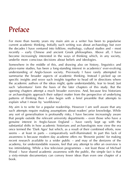# Preface

For more than twenty years my main aim as a writer has been to popularise current academic thinking. Initially such writing was about archaeology but over the decades I have ventured into folklore, mythology, cultural studies and – most recently – early Chinese and ancient Greek philosophies. Above all, I have become increasingly interested in the ways of thinking which, in any society, underlie more conscious decisions about beliefs and ideologies.

Somewhere in the middle of this, and drawing also on history, linguistics and place-name studies, has been a long-standing interest in academics' ever-evolving understanding of Anglo-Saxon society. Previously I have rarely attempted to summarise the broader aspects of academic thinking. Instead I picked up on specific insights and wove such insights together to head off in directions where the academic authors of the ideas might, quite understandably, fear to tread. Just such 'adventures' form the basis of the later chapters of this study. But the opening chapters attempt a much broader overview. And, because few historians or archaeologists approach their subject matter from the perspective of underlying patterns of thinking then I also begin with a brief preamble that attempts to explain what I mean by 'worldviews'.

My aim is to write for a popular readership. However I am well aware that any such attempts require making assumptions about readers' prior knowledge. While any sort of generalisation is profoundly risky, I have become increasingly aware that people outside the relevant university departments – even those who have a genuine interest in Anglo-Saxon England – have rarely kept up with the substantial shifts in how academic historians and archaeologists now view the era once termed the 'Dark Ages' but which, as a result of their combined efforts, now seems – at least in parts – comparatively well-illuminated. In part this lack of awareness is because modern day academe offers no 'Brownie points' for making recent research available to a wider public – and may of the denizens of the academy, for understandable reasons, feel that any attempt to offer an overview is too intimidating. While a few television programmes – not least those of Michael Wood – have shared academic awareness with the public, the simple fact is that a sixty-minute documentary can convey fewer ideas than even one chapter of a book.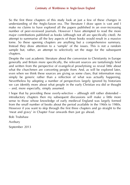So the first three chapters of this study look at just a few of these changes in understanding of the Anglo-Saxon era. The literature I draw upon is vast and I make no claims to have explored all the papers published in an ever-increasing number of peer-reviewed journals. However I have attempted to read the more major contributions published as books (although not all are specifically cited). An attempt to summarise all the key aspects of those books would result in a massive tome. So these opening chapters are anything but a comprehensive summary. Instead they draw attention to a 'sample' of the issues. This is not a random sample but, rather, an attempt to selectively set the stage for the subsequent chapters.

Despite the vast academic literature about the conversion to Christianity in Europe generally and Britain more specifically, the relevant sources are tantalisingly brief and written from the perspective of evangelical proselytising so reveal little about what the churchmen are converting people *from*. And, as will be explored later, even when we think these sources are giving us some clues, that information may simply be generic rather than a reflection of what was actually happening. Nevertheless by adopting a number of perspectives largely ignored by historians we can identify more about what people in the early Christian era did or thought – and, more especially, simply assumed.

I hope that by providing these overly-selective – although still rather distended – introductory chapters then my subsequent discussions will make a little more sense to those whose knowledge of early medieval England was largely formed from the small number of books about the period available in the 1960s to 1980s. However if you want to skip through the first three chapters and go straight to the 'meat and gravy' in Chapter Four onwards then just go ahead.

Bob Trubshaw

Avebury September 2013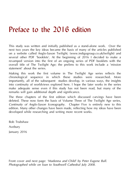# Preface to the 2016 edition

This study was written and initially published as a stand-alone work. Over the next two years the key ideas became the basis of many of the articles published on a website called Anglo-Saxon Twilight; (www.indigogroup.co.uk/twilight) and several other PDF 'booklets'. At the beginning of 2016 I decided to make a revamped version into the first of an ongoing series of PDF booklets with the overall title of The Twilight Age; the prelims to this work include a 'mission statement' about the series.

Making this work the first volume in The Twilight Age series reflects the chronological sequence in which these studies were researched. More importantly, all of the subsequent studies develop, in various ways, the insights into continuity of worldviews explored here. I hope the later works in the series make adequate sense even if this study has not been read, but many of the remarks will gain additional depth and significance.

The three chapters of the first edition which discussed carvings have been deleted. These now form the basis of Volume Three of The Twilight Age series, *Continuity of Anglo-Saxon Iconography.* Chapter Five is entirely new to this edition. Many other changes have been made, reflecting how my ideas have been developed while researching and writing more recent works.

Bob Trubshaw Avebury January 2016

Front cover and next page: *'Madonna and Child' by Peter Eugene Ball. Photographed while on loan to Southwell Cathedral July 2008.*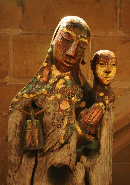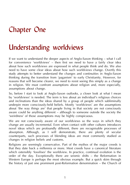# Chapter One

## Understanding worldviews

If we want to understand the deeper aspects of Anglo-Saxon thinking – what I call for convenience 'worldviews' – then first we need to have a fairly clear idea about how such worldviews are expressed in what people think and do. We also need to have some clear ideas about how such worldviews change. Overtly this study attempts to better understand the changes and continuities in Anglo-Saxon thinking during the transition from 'paganism' to early Christianity. However, for reasons that will become clearer, we need to resist seeing this simply as a change in religion. We must confront assumptions about religion and, more especially, assumptions about change.

So, before I start to look at Anglo-Saxon outlooks, a closer look at what I mean by 'worldviews' is needed. The term is less about an individual's religious choices and inclinations than the ideas shared by a group of people which subliminally underpin more consciously-held beliefs. Mostly 'worldviews' are the assumptions about 'the way things are' that people living in that society are not consciously aware could be anything different – although to someone outside the society the 'weirdness' of those assumptions may be highly conspicuous.

We are not consciously aware of our worldviews so the ways in which they change are usually incremental. Even when contact with other cultures introduces novel ideas which are profoundly different, there are recognisable processes of absorption. Although, as I will demonstrate, there are plenty of secular counterparts, such processes of blending ideas are most commonly studied as changes in religion beliefs and customs.

Religions are seemingly conservative. Part of the mythos of the major creeds is that they date back a millennia or more. Most creeds have a canonical literature which ostensibly 'fossilises' the worldview. In practice, continual evolution is the order of the day. Exceptionally there are seismic shifts – the Reformation in Western Europe is perhaps the most obvious example. But a quick skim through the history of just one prominent post-Reformation denomination – the Church of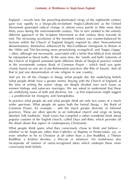England – reveals how the preaching-dominated clergy of the eighteenth century gave way rapidly to a liturgically-revitalised 'Anglo-Catholicism' as the Oxford Movement generated radical change in almost every parish in little more than thirty years during the mid-nineteenth century. This in turn yielded to the entirely different approach of the Scripture Movement as that century drew towards its end. The increasing secularism of the twentieth century was counter-balanced by factions within the Church of England (largely inspired by other Nonconformist denominations, themselves influenced by Afro-Caribbean immigrants to Britain in the 1960s and 70s) becoming more proselytising, evangelical, and 'happy clappy' – often, although not necessarily, associated with a belief that biblical texts should be interpreted as literal truths. At the same time, the 'smells and bells' fraternity of the Church of England sustained quite different ideals of liturgical practice rooted in the seventeenth century Book of Common Prayer – which itself was quite closely based on one set of pre-Reformation practices (the Rite of Sarum). And all that in just one denomination of one religion in one country.

And yet, for all the changes in liturgy (what people *do*), the underlying beliefs (what people *think*) have a greater inertia. Staying with the Church of England, at the time of writing the senior clergy are deeply divided over such issues as women bishops and same-sex marriages. We are asked to understand that these are underlying issues of faith and doctrine, not – as first impressions might suggest – a predilection for misogyny and homophobia.

In practice what people *do* and what people *think* are only two zones of a much wider spectrum. What people *do* spans both the formal liturgy – the Book of Common Prayer, for example – and the much greater diversity of informal practices. These are often specific to an individual church and verge on being deemed 'folk traditions'. Mark Lewis has compiled a rather wonderful book about popular customs of the English church, called *Days and Rites*, which provides all the detail about that aspect of contemporary Christianity.

What people *think* spans what they consciously chose to think and believe – whether to be Anglicans rather than Catholics or Baptists or Pentecostals, say, or even whether to be to Christian at all rather than a Zen Buddhist, a Tibetan Buddhist, a Krishna devotee, a Wiccan or whatever. Yet worldviews also incorporate all manner of rarely-recognised ideas which underpin these more consciously-held beliefs.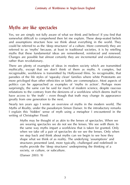## Myths are like spectacles

Yes, we are simply not fully aware of what we think and believe! If you find that somewhat difficult to comprehend then let me explain. These deep-seated beliefs and assumptions structure how we think about everything in the world. They could be referred to as the 'deep structures' of a culture. More commonly they are referred to as 'myths' because, at least in traditional societies, it is by retelling myths that these fundamental ideas are remembered, reinforced and renewed. Changes are possible but almost certainly they are incremental and evolutionary rather than revolutionary.

There are plenty of examples of ideas in modern society which are transmitted mythically, except that we don't think of them as myths. A complex, but recognisable, worldview is transmitted by Hollywood films. So recognisable, that parodies of the life styles of 'squeaky clean' families where white Protestants are more privileged than other ethnicities or faiths are commonplace. Most aspects of politics can be approached as examples of 'myths in action'. Perhaps more surprisingly, the same can be said for much of modern science, despite raucous refutations to the contrary from the denizens of a worldview which deems itself to have access to 'the truth' – even though that truth may change its appearance greatly from one generation to the next.

Nearly ten years ago I wrote an overview of myths in the modern world, *The Myths of Reality,* under the pseudonym Simon Danser. In the introductory remarks I explain this 'hidden' sense of myth using a metaphor I encountered in the writing of Christopher Flood:

Myths may be thought of as akin to the lenses of spectacles. When we are wearing spectacles we do not see the lenses. We see *with them*. In the same way myths impart a worldview that is taken for granted. Only when we take off a pair of spectacles do we see the lenses. Only when we step back and think about myths can we begin to see how they shape what we think of as reality. The underlying 'assumptions' and structures presented (and, more typically, challenged and redefined) in myths provide the 'deep structures' underpinning the thinking of a society, or culture, or subculture.

(Danser 2003: 9)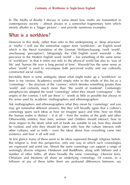In *The Myths of Reality* I discuss in some detail how myths are transmitted in contemporary society – almost always in a somewhat fragmentary form which merely alludes to a 'bigger picture' – and provide numerous examples.

## What is a worldview?

However in this study, rather than refer to this underpinning as 'deep structures' or 'myths' I will use the somewhat vaguer term 'worldview', an English word which is the literal translation of the German *Weltanschauung,* (*welt* 'world', *anschauung* 'perception'). Intriguingly the Old English word *weorold* – the precursor to the Modern English word 'world' – has something of the same sense of 'worldview' in that it refers not only to the physical world but also to 'way of life' and 'human life over a long period of time'. *Weorold* has the same sense as when 'world' is used to encompass both perceived reality and our culturally constructed social reality.

Inevitably there is some ambiguity about what might make up a 'worldview' so here is my version. Academics would simply refer to the whole of this list as a 'cosmology' – the structure of the 'cosmos', which denotes something greater than 'world' and certainly much more than 'the world of mankind'. Confusingly astrophysicists adopted the word 'cosmology' when they meant 'cosmogony' – the origins of the cosmos. I will use these 'c-' words as little as possible but always in the sense used by academic mythographers and ethnonographers

Ask mythographers and ethnonographers what they mean by 'cosmology' and you may get somewhat different answers. But they will broadly agree that a culture's cosmology spans such ideas as how we imagine space and time, how we think the human realm is distinct – if at all – from the realms of the gods and other Otherworldy entities; how men, women and children should interact; how to show respect to the dead; what sort of foods are suitable to eat, how they should be cooked, and who they should be eaten with; how the culture interacts with other cultures; and so forth – even the ideas about how everything came into existence and how it all will end.

At first glance many of these seem to be ideas expressed through religious beliefs. But religion is, from this perspective, only one way in which such cosmologies are expressed and acted out. Almost the same cosmology can support a range of seemingly diverse religions. Hinduism and Buddhism, along with Sikhism and a number of other faiths, all share broadly the same cosmology. Likewise Jews, Christians and Moslems all share an underlying cosmology. Of course, to a follower of any of these faiths there are profound differences between, say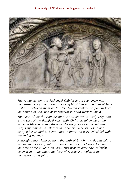

*The Annunciation: the Archangel Gabriel and a seemingly nonconsensual Mary. For added iconographical interest the Tree of Jesse is shown between them on this late twelfth century tympanum from the church of San Juan at Portomarín in north-western Spain.* 

*The Feast of the the Annunciation is also known as 'Lady Day' and is the start of the liturgical year, with Christmas following at the winter solstice nine months later. Allowing for calendar reforms, Lady Day remains the start of the financial year for Britain and many other countries. Before these reforms the feast coincided with the spring equinox.*

*Although almost ignored now, the birth of St John the Baptist falls at the summer solstice, with his conception once celebrated around the time of the autumn equinox. This neat 'quarter day' calendar evolved into one where the feast of St Michael replaced the conception of St John.*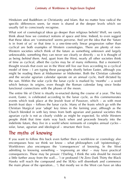Hinduism and Buddhism or Christianity and Islam. But no matter how radical the specific differences seem, far more is shared at the deeper levels which we usually fail to consciously recognise.

What sort of cosmological ideas go deeper than religious beliefs? Well, we rarely think about how we construct notions of space and time. Indeed, to even suggest that these ideas are 'constructed' seems perverse. And yet the idea that the 'future is in front of us' or that time is a one-time-only linear progression rather than cyclical are both examples of Western cosmologies. There are plenty of non-Western societies which think of the future as something unknown and largely unknowable, something they can never see clearly or directly – so it is thought of as being *behind them*. And, apart from the West, nearly all other societies think of time as cyclical, albeit the cycles may be of many millennia. But a moment's thought reveals that even we in the West still live our lives according to a cyclical model of time – I am typing these paragraphs shortly before Easter, although you might be reading them at Midsummer or Midwinter. Both the Christian calendar and the secular agrarian calendar operate on an annual cycle, itself dictated by the sun. Within the solar cycle the lunar cycle is marked by 'months' – a word which betrays its origins, even though the Roman calendar long since broke functional connections with the phases of the moon.

The entire life of Christ is ritually re-enacted during the course of a year. The key event, Easter, is celebrated according to the lunar cycle, as this commemorates events which took place at the Jewish feast of Passover, which – as with most Jewish feast days – follows the lunar cycle. Many of the feasts which go with the Christian liturgical year 'adopt' key times in the farming year, although as the Church blended in with key times from both agrarian and pastoral societies this agrarian cycle is not as clearly visible as might be expected. So while Western people *think* that time starts way back when and proceeds linearly into the indefinite future, they *live* in a world where remnants of complex annual cycles – solar, lunar, agrarian and ideological – structure their lives.

## The myths of knowing

If you want to follow this back even further then a worldview or cosmology also encompasses how we think we know – what philosophers call 'epistemology'. Worldviews also encompass the 'consequences' of knowing. In the West admitting to knowing something – 'expressing an idea' – may have practical consequences. These may be prosaic ('Darling, I think the sofa should be moved a little further away from the wall… ') or profound ('At Zero Dark Thirty the Black Hawks will reach the compound and the SEALs will disembark and commence the main phase of the operation… '). But mostly we in the West can have an idea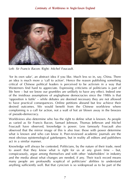

Left: *Sir Francis Bacon.* Right: *Michel Foucault.*

'for its own sake', an abstract idea if you like. Much less so in, say, China. There an idea is much more a 'call to action'. Hence the reason publishing something critical of Chinese political leaders is perceived to be activism in a way that Westerners find hard to appreciate. Expressing criticisms of politicians is part of life here – but we know our grumbles are unlikely to have any effect. Indeed one of the insidious assumptions of anglophone democracies since the 1980s is that 'opposition is futile' – while debates are deemed necessary they are not allowed to have practical consequences. Online petitions abound but few achieve their desired outcomes. We would benefit from the Chinese worldview where complaining is a call for action, not a waft of hot air blown away in the breezes of pseudo-democracy.

Worldviews also determine who has the right to define what is known. As people as varied as Sir Francis Bacon, Samuel Johnson, Thomas Jefferson and Michel Foucault have observed, knowledge is power. Less famously Foucault also observed that the mirror image of this is also true: those with power determine what is known and who can know it. Peer-reviewed academic journals are the most obvious epistemological gatekeepers, but in reality all editors and publishers act in a similar manner.

Knowledge will always be contested. Politicians, by the nature of their trade, need to assert that they know what is right for us at any given time – but, conspicuously, argue among themselves and with other 'stakeholders' in industry and the media about what changes are needed, if any. Their track record means many people are profoundly sceptical of politicians' abilities to understand anything sufficiently well. But that cynicism is so widespread as to be part of the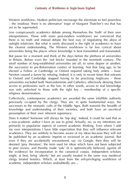Western worldview. Modern politicians encourage the electorate to feel powerless – the insidious 'there is no alternative' trope of Margaret Thatcher's era that has yet to be superseded.

Less conspicuously academics debate among themselves the 'truth' of their own interpretations. Those with more post-modern worldviews are convinced that there is no truth and instead debate the best way of negotiating the abyss of outright relativism. But what is rarely discussed is the right of academics to have the clearest understanding. The Western worldview is far less cynical about universities being the places where knowledge is best transmitted and transmuted.

But pause for a moment and think of the days before the plethora of universities in Britain. Before even the 'red bricks' founded in the twentieth century. The small number of long-established universities are all, to some degree or another, the successors to pre-Reformation centres of learning. Not that long ago, to be elected a Fellow at Cambridge or Oxford required taking holy orders – Isaac Newton caused a furore by refusing. Indeed, it is only in recent times that entrants to Oxford and Cambridge stopped having to be practising Anglicans – these universities excluded both Nonconformists and Catholics, effectively denying them access to professions such as the law. In other words, access to real knowledge was only unlocked to those with the right key – membership of a specific religious denomination.

Collectively, contemporary academics are awarded the same infallible authority previously co-opted by the clergy. They are, in quite fundamental ways, the successors to the monastic cults of the Middle Ages. Both transmit the breadth of knowledge and understanding of their societies, and both have an uncritical presumption of their own inherent supremacy.

Does it matter? Someone will always be 'top dog'. Indeed, it could be said that as a non-academic author I have an axe to grind. Actually, no, as my intentions are primarily to popularise aspects of current academic thinking. Even where I add my own interpretations I have little expectation that they will influence relevant academics. They are unlikely to become aware of my ideas because they will not be published by an academic imprint or reviewed in an academic journal. But even if they are accidentally encountered, say via Google, then they will be deemed 'grey literature', the term used for ideas which have not been subjected to peer review, and thereby made 'safe' (it is optimistically believed, against all the evidence) for incorporation in the canonical corpus. Independent scholars might, at best, bring 'alterity' but are usually treated in the same way medieval clergy treated heretics. Which, at least from the self-privileging worldview of academe, independent scholars undoubtedly are…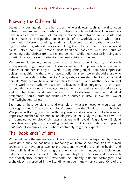## Knowing the Otherworld

Let us shift our attention to other aspects of worldviews, such as the distinction between humans and their souls, and between spirits and deities. Ethnographers have revealed many ways of making a distinction between souls, spirits and deities. Each is indisputably an example of a worldview. So, while post-Reformation Western thinking tends to place souls and spirits more-or-less together while regarding deities as something fairly distinct, this worldview would cause untold confusion among most traditional societies who see souls as something quite distinct from spirits and deities – while not necessarily being able to articulate a consistent distinction between spirits and deities.

Western secular society deems some or all of these to be 'imaginary' – although a surprisingly high proportion of Americans and Europeans believe (in some manner or another) in angels – while distinguishing angels from souls, spirits or deities. In addition to those who have a belief in angels we might add those who believe in the reality of the 'fair folk', or ghosts, or assorted phantom or mythical animals. Whether we believe such entities to be real – and whether they are real in this world or an Otherworld, such as heaven, hell or purgatory – is the basis for countless variations and debates. So too how such entities are related to each, and in what hierarchical order, is also down to doctrinal creeds or individual preference. Souls, spirits and deities are discussed in detail in Volume Two of The Twilight Age series.

Each one of these beliefs is a valid example of what a philosopher would call an 'ontological view'. The word 'ontology' comes from the Greek for 'that which is'. Wikipedia will enlighten you on the key issues and even offers links to a rather impressive number of 'prominent ontologists'. In this study my emphasis will be on 'comparative ontology'. As later chapters will reveal, Anglo-Saxon England offers few examples of *contrasting* ontologies but instead offers examples of *continuity* of ontologies, even where contrariety might be expected.

## The 'book ends' of time

While religions themselves transmit worldviews and are underpinned by deeper worldviews, they do not have a monopoly on them. A common trait of human societies is to have an answer to the questions 'How did everything begin?' and 'How will it all end?' Most religions offer an answer – indeed the Bible opens with the creation of the world in the opening chapters of *Genesis*, and closes with the apocalyptory events of *Revelations*. An entirely different cosmogony and eschatology is preserved in the Scandinavian poem known as *Völuspá*. One of the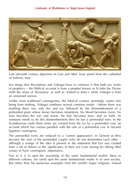

*Late eleventh century depiction of Cain and Abel. Ivory panel from the cathedral of Salerno, Italy.*

few things that *Revelations* and *Völuspá* have in common is that both are works of prophecy – the Biblical account is from a prophet known as St John the Divine (with the sense of 'divinatory' as well as 'related to deity'), while *Völuspá* is from an unnamed seeress.

Unlike most traditional cosmogonies, the biblical cosmos seemingly comes into being from nothing. *Völuspá* combines several common motifs – before there was anything there was only fire and ice, followed by the dismemberment of a primordial giant whose bones becomes mountains, his blood becomes rivers, his eyes becomes the sun and moon, his hair becomes trees, and so forth. As someone needs to do this dismemberment then he has a primordial twin. In the Scandinavian myth these twins are created from the ice by a primordial cow, an account which has curious parallels with the role of a primordial cow in Ancient Egyptian cosmogony.

The primordial twins are reduced to a 'cameo appearance' in *Genesis* as they become the sons of the primordial couple (who do not dismember each other – although a vestige of the idea is present in the statement that Eve was created from a rib of Adam) so the significance of their son Cain slaying his sibling Abel ceases to have cosmogonic importance.

Fun as it is to spot the reworking of the same fundamental mythic ideas in different cultures, we rarely spot the same fundamental myths in or own society. But rather than list numerous examples from the world's major religions, instead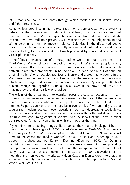let us stop and look at the lenses through which modern secular society 'book ends' the present day.

Actually, let's stop first in the 1950s. Back then astrophysicists held unswerving beliefs that the universe was, fundamentally at least, in a 'steady state' and had been so for all time. We can spot the origins of this myth in Plato's Ideals, invented over two millennia previously, fully reactivated in the Enlightenment and still underpinning much of modern science. Scientists in the fifties had yet to question that the universe was inherently rational and ordered – indeed many today still cling to this counter-factual myth promoted by Zeno and other ancient Greek philosophers.

In the fifties the expectations of a 'messy ending' were there too  $-$  a real fear of a Third World War which would unleash a 'nuclear winter' that few people, if any, would survive. Both these 'book ends' of time now seem rather dated – although both still have some proponents. In has come a 'Big Bang' origin (out of either an original 'nothing' or a recycled previous universe) and a great many people in the West fear than humanity will be subsumed by the excesses of consumption – which are, in large part, caused by an 'excess' of people. Apocalyptic effects of climate change are regarded as unequivocal, even if the how's and why's are imagined by a endless variety of prophets.

The origin of these 'damned into eternity' tropes are easy to recognise. In many Protestant churches every Sunday sermons were preached about the congregation being miserable sinners who need to repent or face the wrath of God in the afterlife. So pervasive has such ideology been over the last few hundred years that secularised modern society never questions such self-deprecating worldviews. Climate change, and all the desertification that goes with, is the just desserts for a 'sinfully' over-consuming capitalist society. Even the idea that the universe might be a recycled former universe fits in with the mood of the times.

If you think I'm stretching things a little too far then read a book published by two academic archaeologists in 1992 called *Easter Island, Earth Island: A message from our past for the future of our planet* (Bahn and Flenley 1992). Actually just jump to the chase and read a wonderful critque of this and other apocalyptic tropes in archaeology by Kathryn Denning (Denning 1999). As Denning beautifully describes, academics are by no means exempt from providing examples of pervasive worldviews colouring the interpretation of their field of study. Adam Stout has also looked at the way the 1930s excavations of the Neolithic and Iron Age earthworks at Maiden Castle in Dorset were interpreted in a manner entirely consistent with the sentiments of the approaching Second World War (Stout 2008).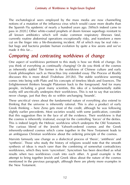The eschatological seers employed by the mass media are now channelling notions of a mutation of the influenza virus which would cause more deaths than the Spanish Flu epidemic of nearly a hundred years ago. [Which indeed came to pass in 2020.] Other white-coated prophets of doom foresee superbugs resistant to all known antibiotics which will make common respiratory illnesses fatal, currently routine abdominal operations exceptionally risky, and transform a mere cut on the finger into a life-threatening incident. All of which may be real risks – but bugs and bacteria predate human evolution by quite a few aeons and we've made it this far…

### Comparing and contrasting worldviews of change

One aspect of worldviews pertinent to this study is how we think of change. Do you think of everything as continually changing? Or do you think of the cosmos as inherently stable? The former is the worldview of Chinese culture and early Greek philosophers such as Heraclitus (my extended essay *The Process of Reality* discusses this is more detail (Trubshaw 2012b)). The stable worldview seeming comes into being with Plato and his concepts of timeless Ideals and Essences. The Enlightenment thinkers brought Platonism back to the foreground. And for many people, including a great many scientists, this idea of a fundamentally stable reality still uncritically underpins their worldviews. This is not to say that societies never change, just that they do so within unchanging 'bounds'.

These uncritical views about the fundamental nature of everything also extend to thinking that the universe is inherently rational. This is also a product of early Greek thinking – here Zeno gets most of the credit, although he was following slightly earlier precedents. Most societies would, with some justification, consider that this suggestion flies in the face of all the evidence. Their worldview is that the cosmos is inherently irrational, except for the controlling 'forces' of the deities. This is indeed largely the Hebraic worldview which underpins the Old Testament. The curious blend of the Jewish Yahweh-ordered cosmos and the Greek inherently-ordered cosmos which come together in the New Testament leads to an ambiguous Christian worldview about the ordering principle of the cosmos.

Marxists famously saw change as a dialectical process of 'thesis', 'antithesis' and 'synthesis'. Those who study the history of religions would note that the smooth synthesis of ideas is much rarer than the combining of somewhat contradictory worldviews, which they term 'syncretism'. Syncretism has been described as what results when two worldviews crash into each other. A good example is the attempt to bring together Jewish and Greek ideas about the nature of the cosmos mentioned in the previous paragraph, although there are plenty more examples in the New Testament.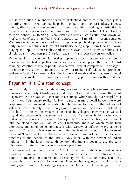But is even such a nuanced version of dialectical processes more than just a distorting mirror? We cannot help but compare and contrast ideas. Indeed, making distinctions is fundamental to human cognition. Making a distinction is primary to perception, as Gestalt psychologists have demonstrated. It is also key to most conceptual thinking. Even relativistic terms such as 'up' and 'down' or 'hot' and 'cold' are simplified into an opposed pair. Similarly, in recent centuries Western democracies have tried hard to polarise political opinions into a 'twoparty' system. We think in terms of Christianity being a split from Judaism, downplaying the input of other faiths. And, most relevant to this study, we think of a simple dualism between pre-Christian 'paganism' and post-conversion beliefs.

While making a distinction is the first step towards any recognition, and binary pairings are the first step, this simply leads into the deep pitfalls of structuralist thinking. Whether binary, tripartite or whatever level of complexity is envisaged, these are only academics' models of reality, not reality itself. Dialectical processes add some 'action' to these models. But in the end we should not confuse a model of a car – no matter how many motors and moving parts it has – with a real car.

### Paganism is a Christian concept

As this study will go on to show, any notions of a simple dualism between 'paganism' and early Christianity are illusory. Note that I am using the word 'paganism' in scare-quotes – that too is a concept which unduly over-simplifies a much more fragmentary reality. As I will discuss in more detail below, the word *paganismus* was invented by early church leaders to refer to the religion of villagers. Taken literally – the Latin *pagus* (villagers) and the Greek *–ism* (system of belief) – it means the 'system of belief of the villagers'. However, as we will see, all the evidence is that there was no formal 'system of belief' so in a very real sense the concept of 'paganism' is a purely Christian invention, a convenient label to stand alongside Judaism and Christianity (both of which terms then embraced, and continue to embrace, a wide variety of different ways of being Jewish or Christian). Over a millennium later Jesuit missionaries in India invented the word 'Hinduism' for exactly the same reasons: to give a label to the disparate practices of the people of the Indus. Only later, with the advent of Indian nationalism in the later nineteenth century, did Indians begin to use the term 'Hindusim' to refer to their own customary practices.

Once invented the word 'paganism' took on a life of its own. Most writers explicitly or implicitly use it with the derogatory sense of the 'religion of the country bumpkins', in contrast to Christianity which was, for many centuries, essentially an urban cult. However Ken Dowden has suggested that, initially at least, *paganismus* was less derogatory and had the sense of the 'religion of the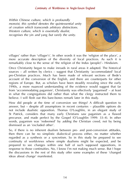*Within Chinese culture, which is profoundly monoist, this symbol denotes the quintessential unity of creation which transcends arbitrary distinctions. Western culture, which is essentially dualist, recognises the* yin *and* yang *but rarely the unity.*



villages' rather than 'villager's'. In other words it was the 'religion of the place', a more accurate description of the diversity of local practices. As such it is remarkably close to the sense of 'the religion of the Indus (people)'– Hinduism.

Once Christianity began to make inroads in rural areas it adapted. The historical sources – all written by clerics – suggest that Christianity 'accommodated' local pre-Christian practices. Much has been made of relevant sections of Bede's account of the conversion of the English, and there are counterparts for other regions of Europe. But, as scholars have been steadily revealing since the early 1990s, a more nuanced understanding of the evidence would suggest that far from 'accommodating paganism', Christianity was effectively 'paganised' – at least in what the congregations did rather than what the clergy instructed them to believe. I will flesh out this bare-bones remark later in this study.

How did people at the time of conversion see things? A difficult question to answer, but – despite all assumptions in recent centuries – plausible options do not include dualistic opposition. Thomas O'Loughlin, in an elegant study of St Patrick, considers that many early Christians saw paganism as a flawed precursor, and made perfect by the Gospel (O'Loughlin 1999: 33–4). In other words, paganism was 'redeemed' by *adding* the Christian creed, not by being dismissed as an 'excluded other'.

So, if there is no inherent dualism between pre- and post-conversion attitudes, then there can be no simplistic dialectical process either, no matter whether regarded as a synthesis or a syncretism. So in this study be prepared to see continuity of worldviews where simple dualisms might be expected, and be prepared to see changes within one half of such supposed oppositions, in response to those continuities. No, I know I'm not making much sense. But I hope the discussions in the rest of this study offer some examples of these 'changed ideas about change' manifested.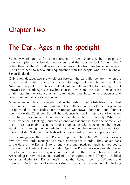# Chapter Two

## The Dark Ages in the spotlight

So many words and, so far, a near-absence of Anglo-Saxons. Rather than pursue other examples of modern day worldviews and the ways we look 'through them' rather than 'at them' I will now focus on examples from Anglo-Saxon England. But first we need to renew our acquaintance with the people who lived in Anglo-Saxon England.

Only a few decades ago the whole era between the early fifth century – when the Roman administration and army packed its bags and went home – until the Norman Conquest in 1066 seemed difficult to fathom. Not for nothing was it known as the 'Dark Ages'. A few books in the 1950s and 60s tried to make sense of this era. In the absence of any alternatives they became very popular and remain influential outside academe.

More recent scholarship suggests that in the parts of the British Isles which had been under Roman administration about three-quarters of the population 'disappeared' in the decades after the Roman withdrawal. Some no doubt found a new life on the Continent. But all the evidence is that in most parts of what we now think of as England there was a dramatic collapse of society. While the direct evidence is lacking – and the absence of evidence is itself one of the clues – the most reasonable scenario is of a population who were either themselves starving or suffering the depredations of other people desperate to steal food. Those that didn't die were at high risk of being enslaved and shipped abroad.

On the margins of the former Roman empire – notably the Welsh Marches – a few local 'war lords' managed to sustain a semblance of order. They looked back to the days of the Roman Empire fondly and attempted, so much as they could, to sustain that lifestyle. Like all 'Golden Ages' the Roman era was probably better in selective memories – legends and such like – than it had been in reality. Archaeologists have discovered evidence of this post-Roman lifestyle – dubbed *romanitas* (Latin for 'Roman-ness') – at the Roman town of Wroxter and elsewhere. And, if archaeologists ever discover evidence for someone akin to King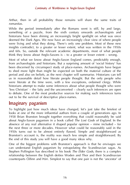Arthur, then in all probability those remains will share the same traits of *romanitas*.

While the period immediately after the Romans went is still, by and large, something of a puzzle, from the sixth century onwards archaeologists and historians have been shining an increasingly bright spotlight on what was once deemed the Dark Ages. We now have an increasingly clear view of where people were living and what they doing. There's only one problem. Most of these new insights contradict, to a greater or lesser extent, what was written in the 1950s and 60s. So, outside the relevant academic departments, most of what people think they know about Anglo-Saxons is – to a greater or lesser extent – wrong.

Most of what we know about Anglo-Saxon England comes, predictably enough, from archaeologists and historians. But a surprising amount of 'social history' has been discerned by circumspect study of place-names. Archaeologists have begun to shed more light than might be expected on both the material culture of the period and also on beliefs, as the next chapter will summarise. Historians can tell us in reasonable detail how literate people thought. But the only people who were literate at the time were, with a few exceptions, ordained clergy. While historians attempt to make some inferences about what people thought who were 'less Christian' – the laity and the unconverted – clearly such inferences are open to debate. One of the most productive sources for making such inferences turns out to be the survival of descriptive place-names.

#### Imaginary paganism

To highlight just how much ideas have changed, let's just take the briefest of looks at one of the more influential authors from a couple of generations ago. In 1958 Brian Branston brought together everything that could reasonably be said about Anglo-Saxon paganism in a book called *The Lost Gods of England*. In the absence of any real alternative it shaped popular opinion – mine included – for the next three or more decades. However what could be reasonably said in the 1950s turns out to be almost entirely flawed. Simple and straightforward as Branston's account is, the reality was much less simple and straightforward. By the end of this study you will have a good many ideas why.

One of the biggest problems with Branston's approach is that he envisages we can understand English paganism by extrapolating the Scandinavian sagas. As Stephen Pollington has described in his book *The Elder Gods*, there is a complex relationship between the English deities Woden and Thor and their Scandinavian counterparts Óðinn and Þórr. Simplest to say that one pair is not the 'ancestor' of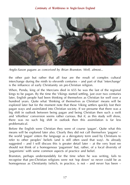

*Anglo-Saxon pagans as conceived by Brian Branston. Well, almost...* 

the other pair but rather that all four are the result of complex cultural interchange during the ninth to eleventh centuries – and part of that 'interchange' is the influence of early Christianity on pre-Christian religion.

When, Penda, king of the Mercians died in 655 he was the last of the regional kings to be pagan. By the time the Vikings started settling, just over two centuries later, English people had been thinking of themselves as Christian for well over a hundred years. Quite what 'thinking of themselves as Christian' means will be explored later but for the moment note that these Viking settlers quickly lost their pagan ways and assimilated into Christian society. If we presume that there was a big shift in outlook between being pagan and being Christian then such a swift and 'effortless' conversion seems rather curious. But if, as this study will show, there was no such big shift in outlook then this assimilation is far less problematical.

Before the English were Christian they were of course 'pagan'. Quite what this means will be explored later also. Clearly they did not call themselves 'pagans' – the world 'pagan' enters the language as a derogatory term used by Christians to refer to other peoples' beliefs (and is still often used that way). As already suggested – and I will discuss this is greater detail later – at the very least we should not think of a homogenous 'paganism' but, rather, of a local diversity of 'paganisms' with some common aspects of practice and belief.

Branston, perhaps understandably for the time when he was writing, fails to recognise that pre-Christian religions were not 'top down' so never could be as homogenous as Christianity (which, in practice, is not – and never has been –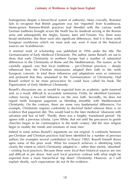homogenous despite a hierarchical system of authority). More crucially, Branston fails to recognise that British paganism was not 'imported' from Scandinavia. Home-grown Romano-British practices had blended with the various north German traditions brought across the North Sea by *foederati* serving in the Roman army and subsequently the Angles, Saxons, Jutes and Frisians. Yes, there were broad similarities. But there were also significant differences. And it is these north European worldviews which we must seek out, even if most of the historical sources are Scandinavian.

A seminal work of scholarship was published in 1994 under the title *The Germanization of Early Medieval Christianity.* The author, James Russell, set out to show that early Christianity in northern Europe had a number of substantial differences to the Christianity of Rome and the Mediterranean. The reason, as he carefully argued, was that local traditions – pre-Christian practices – deeply influenced how the Christian missionaries adapted their faith to the north European converts. In total these influences and adaptations were so extensive and profound that they amounted to the 'Germanization' of Christianity. Had Russell wished to be more provocative he could have called his book *The Paganization of Early Medieval Christianity.* 

Russell's discussions are, as would be expected from an academic, quite naunced and, as a result, difficult to accurately summarise. Firstly, he identified Germanic culture having a two-fold influence on the new faith. Secondly, he does not regard north European paganism as blending smoothly with Mediterranean Christianity. On the contrary, there are some very fundamental differences. For example, Christianity requires conformity to doctrinal belief whereas there is no evidence that paganism did. This would lead to the later medieval 'obsession with salvation and fear of hell'. Thirdly, there was a lengthy 'transitional period'. He agrees with a previous scholar, Lynn White, that not until the precursors to parish churches began to be commonplace in the tenth century 'did the new religion begin to modify the minds and emotions of most men.'

Indeed in some senses Russell's arguments are not original. A continuity between pre-Christian and Christian practices had been identified by a number of previous authors (for examples several contributors to Pearce 1982). Russell himself draws upon some of this prior work. What his research achieves is identifying fairly clearly the extent to which Christianity adapted to – rather than merely 'absorbed' – existing local practices. Because these were *local* then historical sources are rare and difficult to pin down. And such local practices contrast with what might be expected from a more hierarchical 'top down' Christianity. However, as I will explain shortly, such expectations do not fit the evidence.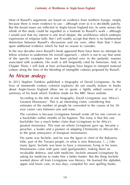Most of Russell's arguments are based on evidence from northern Europe, simply because there is more evidence to use – although even so it is decidedly patchy. But the broad issues are reflected in Anglo-Saxon England too. In some senses the whole of this study could be regarded as a footnote to Russell's work – although I would aver that my interest is one level deeper, the worldviews which underpin expressions of religious faith. But I will readily accept that there is no fundamental distinction between Russell's discussions and my own, other than that I draw upon additional evidence which he had no reason to consider.

In the two decades since Russell's book appeared there have been no attempts by fellow scholars to undermine his overall approach – which is not to say that some of the specific examples have not been picked over in the pedantic manner associated with academe. His work is still frequently cited by historians. And, in Chapter Three, I will look at how archaeologists have begun to interpret material culture along the lines of the blending of intangible cultures proposed by Russell.

## An African analogy

In 2013 Stephen Tomkins published a biography of David Livingstone. As the lives of nineteenth century colonial explorers do not usually feature in books about Anglo-Saxon England allow me to quote a lightly edited version of a summary of his book which Tomkins made for the BBC News website.

According to the title of one biography, David Livingstone was 'Africa's Greatest Missionary'. This is an interesting claim, considering that estimates of the number of people he converted in the course of his 30 year career vary between one and none.

The variation is because Livingstone himself wrote off his one convert as a backslider within months of his baptism. The irony is that this one backslider has a much better claim than Livingstone to be Africa's greatest missionary. This man on whom Livingstone gave up, became a preacher, a leader and a pioneer of adapting Christianity to African life to the great annoyance of European missionaries.

His name was Sechele, and he was the *kgosi* or chief of the Bakwena tribe, part of the Tswana people, in what is now Botswana. […] Like many *kgosi*, Sechele was keen to have a missionary living in his town. Missionaries came with guns (and [gun]powder), making them an invaluable defence, and with medicine. Sechele amused Livingstone by asking for medicine to make him a better hunter. But the thing Sechele wanted above all from Livingstone was literacy. He learned the alphabet, upper and lower case, in two days, compiled his own spelling books,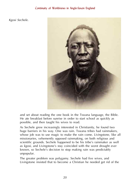*Kgosi Sechele.*



and set about reading the one book in the Tswana language, the Bible. He ate breakfast before sunrise in order to start school as quickly as possible, and then taught his wives to read.

As Sechele grew increasingly interested in Christianity, he found two huge barriers in his way. One was rain. Tswana tribes had rainmakers, whose job was to use magic to make the rain come. Livingstone, like all missionaries, vehemently opposed rainmaking, on both religious and scientific grounds. Sechele happened to be his tribe's rainmaker as well as *kgosi*, and Livingstone's stay coincided with the worst drought ever known, so Sechele's decision to stop making rain was predictably unpopular.

The greater problem was polygamy. Sechele had five wives, and Livingstone insisted that to become a Christian he needed get rid of the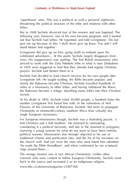'superfluous' ones. This was a political as well a personal nightmare, threatening the political structure of the tribe and relations with other tribes.

But in 1848 Sechele divorced four of the women and was baptised. The following year, however, one of his exes became pregnant, and it turned out that Sechele had fallen. He repented, and told Livingstone: 'Do not give me up because of this. I shall never give up Jesus. You and I will stand before him together.'

Livingstone did give up on him, going north to embark upon his celebrated adventures... At this point, Sechele largely disappears from view. His reappearance was startling. The first British missionaries who arrived to work with the Zulu Ndebele tribe in what is now Zimbabwe in 1859 were staggered to find that they already had regular Christian prayers. Sechele had beaten them to it.

Sechele had decided to lead church services for his own people after Livingstone left. He taught reading, the Bible became popular, and slowly the Bakwena became Christian. Sechele travelled hundreds of miles as a missionary to other tribes, and having withstood the Boers, the Bakwena became a refuge, absorbing many tribes into their Christian society.

At his death in 1892, Sechele ruled 30,000 people, a hundred times the number Livingstone first found him with. In the estimation of Neil Parsons, of the University of Botswana, Sechele 'did more to propagate Christianity in nineteenth-century southern Africa than virtually any single European missionary.'

For European missionaries though, Sechele was a frustrating puzzle, 'a half Christian and a half heathen.' He returned to rainmaking, considering it a political necessity, and late in life returned to polygamy, marrying a young woman for what do not seem to have been entirely political reasons. Missionaries also strongly objected to his use of traditional charms and purification rites, and the list of his ancestors on the church wall. And yet, even the ones who most hated him admitted, 'he reads the Bible threadbare', and when confronted he ran scriptural rings around them….

The strange mixture was in fact African Christianity. Unlike other converts who were content to follow European Christianity, Sechele went back to the source and recreated it as an indigenous religion.

www.bbc.co.uk/news/magazine-21807368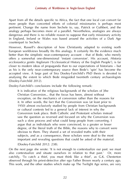Apart from all the details specific to Africa, the fact that one local can convert far more people than concerted efforts of colonial missionaries is perhaps most pertinent. Change the name from Sechele to, say, Patrick or Cuthbert, and the analogy perhaps becomes more of a parallel. Nevertheless, analogies are always dangerous and there is no reliable reason to suppose that early missionary activity in England, Ireland or Wales was based around the activities of a Dark Age counterpart to Sechele.

However, Russell's description of how Christianity adapted to existing north European worldviews broadly fits this analogy. It certainly fits the evidence much better than the simplistic near-contemporary account – that of Bede, who merely offers a somewhat one-dimensional 'instant conversion'. His account, *Historia ecclesiastica gentis Anglorum* ('Ecclesiastical History of the English People'), is far closer to modern ideas of propaganda than to our expectations of historians – but as his is the only near-contemporary source then Bede's 'spin' has become the accepted view. A large part of Sira Dooley-Fairchild's PhD thesis is devoted to analysing the extent to which Bede misguided twentieth century archaeologists (Dooley-Fairchild 2012).

Dooley-Fairchild's conclusions include the following remark:

It is indicative of the religious backgrounds of the scholars of [the Christian Conversion... that the focus has been, almost without exception, on the mechanics of conversion rather than the reasons for it. In other words, the fact that the Conversion was (at least prior to 1950) almost exclusively studied by people from Christian backgrounds or cultural contexts led to a general lack of interest in why the Conversion took place. Both Catholic and Protestant scholars instead saw the question as reversed and focused on why the Conversion was such a slow process and what could keep people from converting. I argue that as individuals who were convinced, to a greater or lesser degree, of the literal truth of the Bible, the reasons why to convert were obvious to them. They shared a set of revealed truths with their subjects, and as a consequence, these scholars were deaf to the most important and revealing questions that could be asked of the material.

(Dooley-Fairchild 2012: 238).

On the next page she wrote: 'It is not enough to contextualize our past: we must also contextualize and situate ourselves in relation to that past.' Or, more catchily, 'To catch a thief, you must think like a thief', as G.K. Chesterton observed through his priest-detective alter ego Father Brown nearly a century ago. This work, and the other studies which make up The Twilight Age series, are very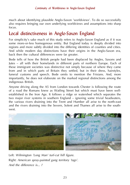much about identifying plausible Anglo-Saxon 'worldviews'. To do so successfully also requires bringing our own underlying worldviews and assumptions into sharp focus.

## Local distinctiveness in Anglo-Saxon England

For simplicity's sake much of this study refers to Anglo-Saxon England as if it was some more-or-less homogenous entity. But England today is deeply divided into regions and more subtly divided into the differing identities of counties and cities. And while modern day distinctions have their origins in the Anglo-Saxon era, back then the cultural differences were far greater.

Bede tells of how the British people had been displaced by Angles, Saxons and Jutes – all with their homelands in different parts of northern Europe. Each of these immigrant societies was distinctive not simply because of where they came from and in which parts of Britain they settled, but in their dress, hairstyles, funeral customs and speech. Bede omits to mention the Frisians. And, more importantly, he does not elaborate on the marked regional distinctions among the indigenous British.

Anyone driving along the A5 from London towards Chester is following the route of a road the Romans knew as Watling Street but which must have been wellestablished in the Iron Age. It follows a ridge or watershed which separates the two major river systems in southern England – ignoring some trivial headwaters, the various rivers draining into the Trent and Humber all arise to the north-east and the rivers draining into the Severn, Solent and Thames all arise to the southwest.



Left: *Wilmington 'Long Man' turf-cut hill figure.* Right: *American spray-painted gang territory 'tags'. And the difference is... ?*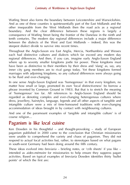Watling Street also forms the boundary between Leicestershire and Warwickshire. And as one of these counties is quintessentially part of the East Midlands and the other inseparable from the West Midlands then the road acts as a regional boundary. And the clear difference between these regions is largely a consequence of Watling Street being the frontier of the Danelaw in the ninth and tenth centuries. The modern day regional differences include a major difference between the dialects of the West and East Midlands – indeed, this was the steepest dialect divide to survive into recent times.

Throughout the Anglo-Saxon era East Anglia, Mercia, Northumbria and Wessex each had distinctive cultures and dialects which far exceed any modern day regional differences. And then, if you can, imagine early Anglo-Saxon England where up to seventy smaller kingdoms jostle for power. These kingdoms must have been as distinctive to their members by their dress and 'slang' as, say, any inner city gang members are to rival gangs today. Yet these kingdoms formed marriages with adjoining kingdoms, so any cultural differences were always going to be fluid and ever-changing.

In one sense Anglo-Saxon England was 'homogenous' in that every kingdom, no matter how small or large, promoted its own 'local distinctiveness' (to borrow a phrase invented by Common Ground in 1983). But that is to stretch the meaning of 'homogenous' too far. All references to Anglo-Saxon England should be regarded as denoting complex and ever-changing heterogenous cultures where dress, jewellery, hairstyles, language, legends and all other aspects of tangible and intangible culture were a mix of time-honoured traditions with ever-changing accommodation of ideas brought in by contact with neighbouring cultures.

And one of the paramount examples of 'tangible and intangible culture' is of course religion…

## Paganism is like local cuisine

Ken Dowden in his thoughtful – and thought-provoking – study of European paganism published in 2000 came to the conclusion that Christian missionaries were unable to comprehend the variety and chaos of paganism. They did not respond to actual local activities but, rather, to stereotypes based on what pagans in south-west Germany had been doing around the fifth century.

These ideas evolved into *breviaria* – briefing notes, or 'crib sheets' if you like – intended as *aides-mémoire* for missionaries to help ensure they suppress pagan activities. Based on typical examples of *breviaria* Dowden identifies thirty 'bullet points' of which the first are: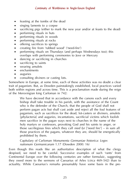- · feasting at the tombs of the dead
- · singing laments to a corpse
- sacrificing pigs (either to mark the new year and/or at feasts to the dead)
- performing rituals in huts
- performing rituals in woods
- performing rituals at rocks
- · offering sacrifices to springs
- creating fire from 'rubbed wood' ('need-fire')
- · performing rituals on Thursdays (and perhaps Wednesdays too); this overlaps with performing ceremonies to Jove or Mercury
- · dancing or sacrificing in churches
- sacrificing to saints
- · wearing amulets
- · enchantments
- · auguries
- consulting diviners or casting lots.

Somewhere in Europe, at some time, each of these activities was no doubt a clear trait of paganism. But, as Dowden painstakingly established, local practices varied both within regions and across time. This is a proclamation made during the reign of the Merovingian king Carloman in 742:

We have decreed that in accordance with the canons each and every bishop shall take trouble in his parish, with the assistance of the Count who is the defender of the Church, that the people of God shall not perform pagan acts but shall cast aside and reject all the foul features of paganism, such as sacrifices for the dead, lot-casters or diviners, amulets [*phylacteria*] and auguries, incantations, sacrificial victims which foolish men sacrifice in the pagan ways next to churches in the name of the holy martyrs or confessors, provoking God and his saints to anger, or those sacrilegious fires which they call *nied fyr* ['need fire'] – in sum all those practices of the pagans, whatever they are, should be energetically prohibited by them.

Capitulary of Carloman *Monumenta Germaniae historica: Leges nationum Germanicarum* 1.17 (Dowden 2000: 16)

Even though this reads like an authoritative description of what the clergy despised, we need to be careful. Successive examples of such 'rants' from Continental Europe over the following centuries are rather formulaic, suggesting they owed more to the sermons of Caesarius of Arles (*circa* 469–542) than to actuality. While Caesarius's remarks presumably have some basis in the pre-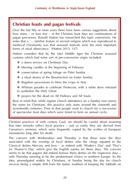## **Christian feasts and pagan festivals**

Over the last fifty or more years there have been various suggestions about how many – or how few – of the Christian feast days are continuations of pagan precursors. Ronald Hutton has researched this topic extensively. He notes that a '… familiar feature of ancient religion which was reproduced in medieval Christianity was that seasonal festivals were the most important forms of ritual observance.' (Hutton 2013: 337)

Hutton considers that by the later Middle Ages the Christian seasonal customs which had some sort of pre-conversion origin included:

❖ a dawn service on Christmas Day

- $\cdot$  blessing candles at the beginning of February
- consecration of spring foliage on Palm Sunday
- v a ritual drama of the Resurrection on Easter Sunday
- Rogation processions to bless the crops in May
- \* Whitsun parades to celebrate Pentecost, with a white dove released to symbolise the Holy Ghost
- \* prayers for the dead on All Hallows and All Souls.

Bear in mind that, while regular church attendance on a Sunday now seems the norm for Christians, this practice only starts around the sixteenth and seventeenth centuries. Prior to that people went to church for a succession of spectacular feast days which were timed to form an annual cycle.

Christian practices of sixth century Gaul, we should be careful about assuming that later remarks reflect local practice – just as easily they are derived from Caesarius's sermons, which were frequently copied by the scribes of European monasteries long after his death.

The concern with Wednesdays and Thursday is that these were the days associated with the worship of local deities who the clergy equated to the Classical deities Mercury and Jove – as indeed with 'Woden's Day' and 'Thor's (or Thunor's) Day' which give the English names for these days. The concern seems to be that pagans did indeed honour these deities on the respective days – with Thursday seeming to be the predominant choice in northern Europe. So the idea, promulgated widely by Christians, of Sunday being the day for church services being a simple shift from the Judaic tradition of keeping the Sabbath on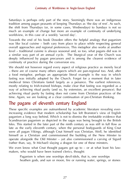Saturdays is perhaps only part of the story. Seemingly there was an indigenous tradition among pagan peasants of keeping Thursdays as 'the day of rest'. As such, the shift from Thursdays (or, in some cases, Wednesdays) to Sundays is not so much an example of change but more an example of continuity of underlying worldview, in this case of a weekly 'sacred day'.

Towards the end of his book Dowden offers the helpful analogy that paganism was like local cuisine – both vary from place to place while respecting general overall approaches and regional preferences. This metaphor also works at another level – traditional cuisine is always seasonal and, so too, what pagans did was in a similar way part of an annual cycle. The liturgical year of the Church was deeply influenced by pagan precursors and is among the clearest evidence of continuity of practice during the conversion era.

We should not however regard every aspect of religious practice as merely local – there are of course many others aspects which are pan-regional too. And, after a food metaphor, perhaps an appropriate literal example is the way in which fasting was initially adopted by the Church. Forget for a moment that in later medieval times Christians fasted largely as a penance. The earliest references, mostly relating to Irish-trained bishops, make clear that fasting was regarded as a way of achieving ritual purity (and so, by extension, an excellent penance). But achieving ritual purity by fasting does not come from Christian practices of the time. Again, we are looking at a clear continuation of pre-Christian thinking.

## The pagans of eleventh century England

These specific examples are outnumbered by academic literature revealing everincreasing evidence that modern scholarship has left Branston's view of English paganism a long way behind. Which is not to dismiss the irrefutable evidence that Scandinavian paganism as depicted in the sagas was being brought to the British Isles. This started in the later part of the ninth century as was still in full flow as late as the early eleventh century, when the personal bodyguards of King Cnut were all pagan Vikings, although Cnut himself was Christian. Well, he identified himself as a Christian and commissioned the building of the New Minster to operate alongside the Old Minster – yet also commissioned a carving of Sigurd (rather than, say, St Michael) slaying a dragon for one of these minsters.

We even know what Cnut thought pagans got up to – or at what least his lawmakers, who would have been trained clerics, thought:

Paganism is when one worships devil-idols, that is, one worships heathen gods, and sun or moon, fire or running water, springs, or stones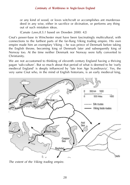or any kind of wood, or loves witchcraft or accomplishes ant murderous deed in any wise, either in sacrifice or divination, or performs any thing out of such mistaken ideas.

(Canute *Laws,II.5.1* based on Dowden 2000: 42)

Cnut's power-base in Winchester must have been fascinatingly multicultural, with connections to the furthest parts of the far-flung Viking trading empire. His own empire made him an exemplary Viking – he was prince of Denmark before taking the English throne, becoming king of Denmark later and subsequently king of Norway too. At the time neither Denmark nor Norway were fully converted to Christianity.

We are not accustomed to thinking of eleventh century England having a thriving pagan 'sub-culture'. But so much about that period of what is deemed to be 'early medieval England' is deeply influenced by 'late Iron Age Scandinavia'. Yes, the very same Cnut who, in the mind of English historians, is an early medieval king,



*The extent of the Viking trading empire.*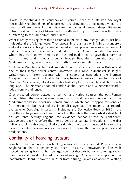is also, in the thinking of Scandinavian historians, head of a late Iron Age royal household. We should not of course get too distracted by the names which are given to different eras but in this case the names do reveal deep differences between different parts of Migration Era northern Europe (to throw in a third way of referring to the same times and places).

What is really missing from these assorted monikers is any recognition of just how multicultural the Vikings were. They appear in the annals of Britain as plunderers and extortionists, although go unmentioned in their predominate roles as peaceful traders. Their sphere of influence extended up the Danube and its tributaries – where they were known there as the Rus and in due course gave their name to Russia – and traded goods brought through Byzantium from the both the Mediterranean region and from much further east along Silk Roads.

Cnut made Winchester the most important hub of Viking activities in Britain, and one of their larger power centres anywhere in Europe. Winchester is largely written out of history because within a couple of generations the Norman Conquest had brought England within the sphere of influence of another posse of 'Northmen' or Vikings, albeit ones who had adopted Christianity and the French language. The Normans adopted London as their centre and Winchester steadily faded from prominence.

Cnut brokered power between three rich and varied cultures: the post-Roman Britain Isles, the never-Roman Scandinavian and eastern Europe, and the Mediterranean-based never-not-Roman empire which had swapped missionaries for mercinaries but retained its imperialist agenda. The majority of records available to Dark Age historians – including the Domesday Book of 1086 – are from the century-or-so straddling Cnut's life. But while these records do shed light on late tenth century England, the evidence cannot always be confidently extrapolated back to before the intense period of cultural interactions in the first half of the eleventh century. And considerably more care is needed before using eleventh century documents as evidence for pre-ninth century practices and predilections.

## Continuity of hoarding treasure

Sometimes the evidence is too blinking obvious to be considered. Pre-conversion Anglo-Saxons had a tendency to 'hoard' treasure. However, in line with precedents going back to the Iron Age, seem of these to be votive offerings rather than personal wealth buried for safe-keeping. A classic example is the Staffordshire Hoard, recovered in 2009 from a triangular area adjacent to Watling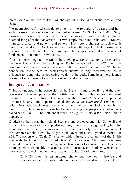Street (see Volume Five of The Twilight Age for a discussion of the location and shape).

The poem *Beowulf* shed considerable light on the re-burial of treasure and how such treasure was dedicated to the deities (Creed 1989; Tarzia 1989; 1999). However, as only Tarzia seems to have recognised, treasure continued to be hoarded long after the conversion – it was simply made into reliquaries, croziers, liturgical chalices and pattens, and so forth. The rhetoric changes to such wealth being 'for the glory of God' rather than 'votive offerings' but that is essentially because of the difference between emic and etic perspectives, and not because of fundamental differences in worldview.

If, as has been suggested by Brian Phelp (Phelp 2012), the Staffordshire Hoard is the 'war booty' from the sacking of Rochester Cathedral in 676 then the continuity of practice loops back on itself. But even without the 'Rochester connection' every item of ecclesiastical 'booty' in any medieval church is evidence for continuity of dedicating wealth to the gods. Sometimes the evidence is simply lost in terminology and cognicentric distinctions.

## Imagined Christianity

Trying to understand the conversion of the English in more detail – and the prior conversion of other parts of the British Isles – has understandably intrigued historians for many centuries. The same year that Branston's *Lost Gods* appeared a more scholarly tome appeared called *Studies in the Early British Church*. The editor, Nora Chadwick, was then a fairly 'new kid on the block' although she went on to publish several more books popularising the people she collectively called 'Celts'. In 1961 her influential work *The Age of Saints in the Celtic Church* appeared.

Chadwick's thesis was that Ireland, Scotland and Wales (along with Cornwall and Brittany if you want to be completist) not only shared a language, Celtic, but also a cultural identity. And, she supposed, they shared an early Christian culture until the Roman Catholic hierarchy staged a take-over bid at the Synod of Whitby in 664. The notion of a 'Celtic Christianity' which linked the far north of the British Isles with the far south-west is seductive. Many practising Christians have been seduced by a version of this imaginative take on history which is still actively promulgated, most notably by a retreat centre on Iona. Ian Bradley, who initially embraced Chadwick's notions of a supposed Celtic Christianity, wrote:

Celtic Christianity is less an actual phenomenon defined in historical and geographical terms than an artificial construct created out of wishful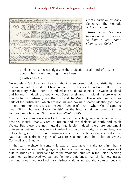

*From George Bain's book* Celtic Art: The Methods of Construction.

*These examples are based on Pictish crosses, so have a least some claim to be 'Celtic'.*

thinking, romantic nostalgia and the projection of all kind of dreams about what should and might have been.

(Bradley 1999: vii)

Nevertheless 'all kind of dreams' about a supposed Celtic Christianity have become a part of modern Christian faith. The historical evidence tells a very different story. While there are indeed close cultural contacts between Scotland and Ireland – indeed, the eponymous Scotii originated in Ireland – there was no love to be lost between, say, the Irish and the Welsh. The whole idea of those parts of the British Isles which are not England having a shared identity goes back a mere three hundred years to the Act of Union of 1704 – when 'Celtic' came to mean 'British but not bloody English', as the historian Simon Jones put it in lectures promoting his 1999 book *The Atlantic Celts*.

Yes there is a common *origin* for the non-Germanic languages we know as Irish, Scottish, Pictish, Manx, Cornish, Breton and the dialects of north and south Wales. But these are not mutually intelligible. Indeed, there are substantial differences between the Gaelic of Ireland and Scotland (originally one language but evolving into two distinct languages when Irish Gaelic-speakers settled in the Dál Riata or Dalriada region of western Scotland) and the Celtic of Wales, Cornwall and Brittany.

In the early eighteenth century it was a reasonable mistake to think that a common origin for the languages implies a common origin for other aspects of culture. But as our understanding of the traditional cultures in the Celtic-speaking countries has improved we can see far more differences than similarities. Just as the languages have evolved into distinct variants so too the cultures became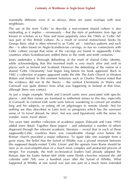essentially different, even if, as always, there are some overlaps with near neighbours.

The use of the term 'Celtic' to describe a non-existent shared culture is also misleading as it implies – erroneously – that the style of prehistoric Iron Age art known to scholars as La Tène and more popularly since the 1960s as 'Celtic Art' was part of this British culture. As a result of several instructional books by George Bain, what is often referred to as 'Celtic art' – interlace patterns and such like – is often based on Anglo-Scandinavian carvings, so has no connections with Celtic culture except that some of the carvings are found in supposedly Celtic countries when Scandinavians settled there in the ninth and tenth centuries.

Jones undertakes a thorough debunking of the myth of shared Celtic identity, while acknowledging that this invented myth is very much alive and well in places such as Ireland and Scotland. However the debunking of the notion of a shared 'Celtic Christianity' had begun long before his book appeared. Back in 1982 a collection of papers appeared under the title *The Early Church in Western Britain and Ireland*. In this eminent historians such as Charles Thomas noted that the evidence did not fit the theory – the earliest Christianity in Wales and Cornwall was quite distinct from what was happening in Ireland at that time, although there was contact.

As just a single example, Welsh and Cornish saints were associated with specific places – and their names are fossilised in settlement names to this day, especially in Cornwall. In contrast Irish saints were forever wandering to convert yet another king and his subjects, or setting off on pilgrimages to remote islands. Not for nothing are they described in Latin texts as *peregrines* which has the narrower sense of 'to travel abroad, be alien', but was used figuratively with the sense 'to wander, roam, travel about'.

Ten years later another collection of academic papers (Edwards and Lane 1992) added more detail. Together these papers – and substantial a number of others dispersed through the relevant academic literature – reveal that in each of these supposedly-Celtic countries there was considerable change even before the Roman church provided a major influence. To again take one example from a great many, the belief that the Synod of Whitby was a pivotal moment between this supposed deeply-rooted 'Celtic Union' and the upstarts from Rome should be seen as an over-simplification of a much more complex and protracted process of merger. For example, the Irish ecclesiastical leaders had already adopted the Roman date for Easter *before* 664 while some Welsh churches retained the old calendar until 768, over a hundred years after the Synod of Whitby. What happened at Whitby at one synod was just one part of a much more extended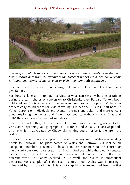

*The footpath which runs from the main visitors' car park at Avebury to the High Street (shown here from the summit of the adjacent prehistoric henge bank) seems to follow one corner of the seventh or eighth century* burh *earthworks.* 

process which was already under way, but would not be completed for many generations.

For those seeking an up-to-date overview of what can sensibly be said of Britain during the early phases of conversion to Christianity then Barbara Yorke's book published in 2006 covers all the relevant sources and topics. While it is academically sound sadly her style of writing is rather dry. This is in part because Yorke is strong on individuals and events – the nuts and bolts – and more reticent about exploring the 'whys' and 'hows'. Of course, without reliable 'nuts and bolts' there can only be fanciful narratives.

One way and other, the illusion of a more-or-less homogenous 'Celtic Christianity' spanning vast geographical territories and equally expansive periods of time which was created by Chadwick's writing could not be further from the reality.

To pick on a few more examples. In the sixth century south Wales was sending priests to Cornwall. The place-names of Wales and Cornwall still include an exceptional number of names of local saints or references to the church or churchyard compared to other parts of Britain. And yet, while these early contacts can still be discerned, the there are plenty of differences which reflect the different ways Christianity evolved in Cornwall and Wales in subsequent centuries. For example, after the sixth century south Wales was increasingly influenced by Irish Christianity. This is not surprising as Ireland had been the first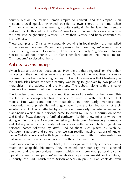country outside the former Roman empire to convert, and the emphasis on missionary zeal quickly extended outside its own shores, at a time when Christianity in England was seemingly quite vestigial. By the late ninth century and into the tenth century it is Wales' turn to send out ministers on a mission – this time into neighbouring Wessex. But by then Wessex had been converted by Irish clerics...

These examples of Christianity constantly-evolving in local regions are multiplied in the relevant literature. We get the impression that these 'regions' were in many respects acting almost autonomously. Yorke described early Anglo-Saxon religious houses as 'ad hoc' (Yorke 2013). Other scholars adopted the phrase 'micro-Christendoms' to describe them.

## Abbots *versus* bishops

When historians ask such questions as 'How big are these regions?' or 'Were they bishoprics?' they get rather woolly answers. Some of the woolliness is simply because the evidence is too fragmentary. But one key reason is that Christianity in the British Isles before the tenth century was being fought over by two powerful hierarchies – the abbots and the bishops. The abbots, along with a smaller number of abbesses, controlled the monasteries and nunneries.

The founders of early monastic communities devised the rules for the monks. This resulted in a ever-proliferating diversity of rules – with the benefit that monasticism was extraordinarily adaptable. In their early manifestations monasteries were physically indistinguishable from the fortified farms of their secular kinsfolk. This is reflected by so many of these early monasteries leading to place-names which are a personal name followed by '–bury', a corruption of the Old English *burh*, denoting a fortified earthwork. Within a few miles of where I'm sitting writing this are Alderbury, Amesbury, Heytesbury, Malmesbury, Ramsbury and Tisbury which are all early religious sites with names which originate as personal names followed by *burh*. Add to them such places as Avebury, Westbury, Yatesbury and so forth then we can readily imagine that era of Anglo-Saxon Wiltshire as dotted with large fortified farms, with little to distinguish those that were primarily whether religious from those that were not.

Quite independently from the abbots, the bishops were firmly embedded in a much less adaptable hierarchy. They extended their authority over cathedral churches and the subservient minsters which each provided pastoral care to typically a few dozen 'parishes' (although strictly parishes are still in the future). Curiously, the Old English word *biscop* appears in pre-Christian contexts (even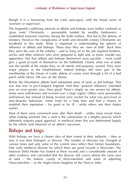though it is a borrowing from the Latin *episcopus*), with the broad sense of 'overseer or supervisor'.

The frequently-conflicting interests of abbots and bishops were further confused as 'grass roots' Christianity – presumably funded by wealthy landowners – established manorial churches during the tenth century. This led to the demise of minsters. However the complexities of tenth and eleventh century Christianity are incidental to this study. What is important is understanding the spheres of influence of abbots and bishops. These days they are 'men of faith'. Back then they were the sons of the nobility – and to hang on to the job required brothers, uncles and other relatives who were prepared to fight and, at times, murder any opposition. Not that abbots and bishops themselves were pacifists – most could give a good account of themselves on the battlefield. Clearly what was at stake was the wealth of the estates they, to all intents and purposes, owned. They were major players in the Establishment. Indeed bishops still form part of the membership of the House of Lords; abbots of course went through a bit of a bad patch while Henry VIII was on the throne.

Before the Dissolution abbots held substantial areas of land, as did bishops. This was also true in pre-Conquest England. And their 'pastoral influence' extended over an even greater area. How great? There's simply no one answer for abbots. Some were well-known and revered over a large region. Others were presumably well-known but instead of being revered were reviled for what was perceived as near-despotic behaviour. Some lived for a long time and had a chance to establish their reputation – for good or for ill – while others met their Maker sooner.

Most of them were canonised soon after their death – unlike more recent times when making someone into a saint is the culmination of a lengthy process which ultimately requires papal approval, in medieval times this was determined largely by the efforts (and interests) of an abbot's successor.

## Bishops and kings

With bishops we have a clearer idea of their extent of their authority – then as now it was their bishopric or diocese. The number of dioceses has changed at various times and only some of the current ones reflect their former boundaries. One early medieval diocese for which there are good records is Worcester. The historian Della Hooke has looked at these records and a considerable amount of other evidence and concluded that the diocese still covers almost the same area of land – the historic county of Worcestershire and some of adjoining Gloucestershire – as the Anglo-Saxon kingdom of the Hwicce tribe.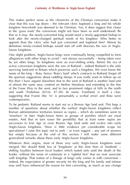This makes perfect sense as the chronicles of the Christian conversion make it clear that this was top down – the relevant cleric baptised a king and his whole kingdom henceforth was deemed to be Christian. Yes, it does suggest that closer to the 'grass roots' the conversion might not have been so well understood. Be that as it may, the newly-converted king would need a newly-appointed bishop to look after the newly-changed spiritual needs of his kingdom. Who better to appoint than the cleric who had just converted and baptised him? Almost by definition newly-created bishops would start off with dioceses the size of Anglo-Saxon kingdoms.

One slight problem. Anglo-Saxon kings were continually being compelled to form allegiances with other kings to avoid – not always successfully – being taken over by yet other kings. So kingdoms were an ever-shifting entity. Before the era of active conversion kingdoms were the size of Rutland – indeed Rutland is the only surviving land-unit in Britain which preserves such a kingdom. We even know the name of the king – Rota, hence 'Rota's land' which contracts to Rutland (forget all the spurious suggestions about raddling sheep). If you really want to follow up on this then I have argued elsewhere that to the west of Rutland is another land unit of almost the same area, centred on Melton Mowbray and extending to the line of the Fosse Way to the west, and to two prominent ridges of hills to the north and south (Trubshaw 2012a: 47–50). Its name, Framland, is itself a clue, suggesting that Franni (the 'm' is presumably a scribal error) and Rota were contemporaries.

To be pedantic Rutland seems to start out as a Bronze Age land unit. This begs a number of questions about whether the earliest Anglo-Saxon kingdoms reflect Roman administrative territories known as *regios* – which do sometimes seem to 'resurface' in later Anglo-Saxon times as groups of parishes which are royal estates. And that in turn raises the possibility that at least some *regios* are successors to Iron Age or even Bronze Age land units and evolve into early Anglo-Saxon kingdoms. There is little evidence yet considerable scope for speculation! I raise this topic not to seek – or even suggest – any sort of answers but simply because at the end of this section I will make some different generalised remarks about these early Anglo-Saxon kingdoms.

Whatever their origins, most of these very early Anglo-Saxon kingdoms soon merged. We should think less of 'kingdoms' at this time than of 'kindreds' – shifting loyalties between local leaders which lasted only until the death of the leader, without the sense of continuity to a 'rightful heir' that we now associate with kingship. That notion of a lineage of kings only comes in with conversion – indeed, the expectation of greater security for the king and his family and retinue may well have influenced the reason for him converting, as much as any change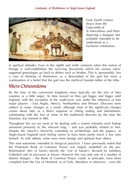

*Early fourth century fresco from the Catacombs of St Marcellinus and Peter depicting a banquet, but probably intended to be understood as a Eucharist celebration.*

in spiritual attitudes. Even in the eighth and ninth centuries when this notion of lineage is well-established, the surviving documents which list various rulers' supposed genealogies go back to deities such as Woden. This is, presumably, less a case of thinking of themselves as a descendant of the god but more a continuation of a belief that the god was the mythical founder-father of the tribe.

## Micro-Christendoms

By the time of the conversion kingdoms more typically are the size of later counties or a little larger. As time moved on they got bigger and bigger until England, with the exception of the south-west, was under the influence of four major players – East Anglia, Mercia, Northumbria and Wessex. Dioceses were subject to some changes as a result, although most of the significant changes comes about later as a direct response to Viking raiding and intimidation, culminating with the loss of some of the traditional dioceses by the time the Danelaw was formed in 886.

Throughout this era we seem to be dealing with a system whereby each bishop answered primarily to the relevant king – and was probably related to him. Despite the church's hierarchy extending to archbishops and the papacy, in Anglo-Saxon England each bishop seems to have been pretty much a law unto himself. As with abbots, some were more benign and spiritual than others.

This near-autonomy extended to liturgical practices. I have previously noted that the Protestant Book of Common Prayer was largely modelled on the pre-Reformation rites of Sarum (strictly the 'Use of Sarum'), devised by Salisbury Cathedral and its precursor at Sarum. However this was only one of a number of distinct liturgies – the Book of Common Prayer could, in principle, have been compiled from the Use of Hereford, or of York, Aberdeen or wherever – even the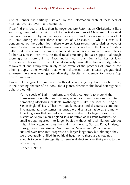Use of Bangor has partially survived. By the Reformation each of these sets of rites had evolved over many centuries.

If we find this idea of a less than homogenous pre-Reformation Christianity a little surprising then cast your mind back to the first centuries of Christianity. Historical evidence, backed up by archaeological evidence from the catacombs, reveals that in Rome during the first three centuries of Christianity – while it was still condemned by the authorities – there were *at least* twenty quite distinct ways of being Christian. Some of these were closer to what we know think of a 'mystery cults' and others were strongly influenced by religious practices from places further east. At the core was the ritual meal emulating the Last Supper – although seemingly far more akin to Bacchanalian feasts than Eucharist rites of later Christianity. This rich mixture of 'local diversity' was all within one city, where followers of one group were likely to be aware of the practices of some of the other groups. Little wonder that when dispersed over greater geographical expanses there was even greater diversity, despite all attempts to impose 'top down' uniformity.

I would like to give the final word on this diversity to Jeffrey Jerome Cohen who, in the opening chapter of his book about giants, describes this local heterogeneity quite profoundly:

Yet to speak of Latin, northern, and Celtic culture is to pretend that these were monolithic and discrete, when each was composed of often competing ideologies, dialects, mythologies – like [the idea of] 'Anglo-Saxon England' itself. These various languages and discourses combined into fragmentary epistemes, as unstable and amalgamative as the many little kingdoms that formed and were absorbed into larger ones. The history of Anglo-Saxon England is a narrative of resistant hybridity, of small groups ingested into larger bodies without full assimilation, without cultural homogeneity: thus the realms of Hwicce, Sussex, Kent, Lindsey, Surrey, Essex, East Anglia, Northumbria, Mercia and Wessex were sutured over time into progressively larger kingdoms, but although they were eventually unified in political hegemony, these areas retained enough force of heterogenity to remain dialect regions that persist to the present day.

(Cohen 1999: 4)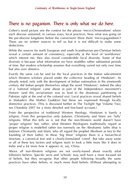## There is no paganism. There is only what we do here.

Cohen's word picture sets the context for the phrase 'micro-Christendoms' where each diocese sustained, in various ways, local practices. Now what was going on the pre-diocese kingdoms *before* the conversion? Were there 'micro-pagandoms'? There are no written sources to tell us but it is not difficult to make some deductions.

While the sources for north European and south Scandinavian pre-Christian beliefs reveal a certain amount of consistency, especially at the level of 'worldviews' which interest me, they also reveal considerable local diversity. Some of that diversity is because what information we have straddles rather substantial periods of time. But modern scholarship assumes that everything varied not only over time but also over distance.

Exactly the same can be said for the local practices in the Indian subcontinent which Western scholars placed under the collective heading of 'Hinduism'. As already noted, only with the development of Indian nationalism in the nineteenth century did Indian people themselves adopt the word 'Hinduism'; indeed the idea of a 'national religion' came about as part of the independence movement's rhetoric (and this sectarianism was to lead to the disastrous partitioning of Pakistan right at the end of the colonial era). Local practices reveal shared beliefs in Mahadevi (the Mother Goddess) but these are expressed through locally distinctive practices. (This is discussed further in The Twilight Age Volume Two; see Chandola 2007 for a more detailed and first-hand account.)

From the perspective of traditional Western theology, Hinduism is barely a religion. From this perspective only Judaism, Christianity and Islam are 'fully' religions. What this tells us is *not* that the non-Western world doesn't have 'proper religions' but, rather, what Western theologians traditionally regard as proper religion is modelled rather too narrowly on the Abrahamic faiths (that is Judaism, Christianity and Islam, who all regard the prophet Abraham as key to the founding of their faiths). In these 'big three' religions there is a hierarchical structure, a canonical text and a clearly-formulated 'creed'. But take away some or all of these key factors and religion starts to look a little more like it does in India and a lot more how it appears in, say, China.

Above all non-Western religions are not overly-fussed about exactly what followers believe. Specific sects and 'schools' may well have a more focused set of beliefs, but they recognise that other people following broadly the same practices have other beliefs, or much more fluid beliefs. Without attempting to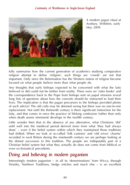

*A modern pagan ritual at Avebury, Wiltshire, early May 2009.*

fully summarise how the current generation of academics studying comparative religion attempt to define 'religion', such things are 'creeds' are not that important. Only since the Reformation has the Western notion of religion become focused on what people *believe* more than what people *do*.

Any thoughts that early bishops expected to be concerned with what the laity believed or did could not be further from reality. There were no 'rules books' and the correspondence back to the Pope from bishops sent on papal missions reveal long lists of questions about how the converts should be instructed to lead their lives. The implication is that the pagan precursors to the bishops provided plenty of such advice! The old cults may be deemed wrong but there was no one-to-one replacement. Not until the thirteenth century is there significant instruction for the laity, and that comes in once the practice of lifelong confession (rather than only when death seems imminent) develops in the twelfth century.

Little wonder then that in the absence of any alternative, what Christians 'did' until well into the medieval period derived more from what 'they had always done' – even if the belief system within which they maintained those traditions had shifted. When we look at so-called 'folk customs' and 'old wives' charms' recorded in rural Britain during the nineteenth century we are perhaps looking at the distant successors to this tradition. The people are indisputably part of a Christian belief system but what they actually do does not come from biblical or even ecclesiastical precedents.

## Doing and believing in modern paganism

Interestingly modern paganism – in all its 'denominations' from Wicca, through Druidry, Northern Traditions, hedge witches and much else – is an excellent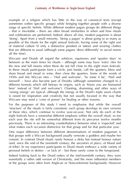example of a religion which has little in the way of canonical texts (except sometimes within specific groups) while bringing together people with a diverse range of specific beliefs. While different modern pagan groups do different things – that is inevitable – there are often broad similarities in when and how rituals and celebrations are performed. Indeed, above all else, modern paganism is about 'doing'. Apart from a small minority, 'being a pagan' is about going to as many as possible of the rituals for the eight annual festivals, having some of the right sort of material culture (if only a distinctive pendant or tattoo) and wearing clothes that are different to usual (although some pagans 'dress differently' to social norms all the time).

Wiccans and Druids all regard the solstices, equinoxes and 'quarter days' in between as the main times for rituals – although some may have 'extra' rites for the new and full moons when these do not fall close to the eight main festivals. In these rituals participants form a circle, join hands, call the quarters, bless and share bread and mead or wine, then close the quarters. Some of the words of 1950s and 60s Wiccan rites – 'Hail and welcome', 'So mote it be', 'Hail and farewell' – have also become part of Druidry (although sometimes changed to a different formula which still betrays its origins, such as 'Know you are honoured here' instead of 'Hail and welcome'). Chanting, drumming and other ways of 'raising energy' are typical, although the energy of the Druid's triple awen chants is raised for inspiration and creativity but not usually focused in the way that Wiccans may send a 'cone of power' for healing or other reasons.

For the purposes of this study I need to emphasise that while the overall 'structure' of the rituals is fairly consistent, each group develops its own versions of these rites, which continue to evolve year-on-year. Not only do each of the eight festivals have a somewhat different emphasis within the overall ritual, so too each year the rite will be somewhat different from its precursor twelve months previously. There is an interesting counterbalance between what is 'expected' and what makes each occasion distinctive for that group and for that particular year.

One major difference between different denominations of modern paganism is that groups with a Wiccan background usually venerate a goddess and maybe her consort. In contrast Druid rituals rarely honour a deity but instead honour nature (and, since the end of the twentieth century, the ancestors of place, of blood and of tribe). In my experience participants in Druid rituals embrace a wide variety of personal beliefs in deities – or lack of – but these rarely come to the foreground.

Indeed looking back to the Druid orders of the mid-twentieth century, they were essentially a rather odd version of Christianity, and the more influential members of the groups were often from Anglican or Nonconformist backgrounds. However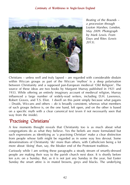

*Beating of the Bounds – a procession through Leyton Marshes, London, May 2009. Photograph by Mark Lewis. From* Days and Rites *(Lewis 2013).*

Christians – unless well and truly lapsed – are regarded with considerable disdain within Wiccan groups as part of the Wiccan 'mythos' is a deep polarisation between Christianity and a supposed pan-European medieval 'Old Religion'. The source of these ideas are two books by Margaret Murray published in 1921 and 1933. While offering an entirely imaginary account of medieval religion, Murray influenced a large number of widely-read writers, including D.H. Lawrence, Robert Graves, and T.S. Eliot. I dwell on this point simply because what pagans – Druids, Wiccans and others – *do* is broadly consistent, whereas what members of such groups *believe* is, on the one hand, left open, and on the other is based on a specific myth with a clear canonical text (even if not necessarily seen that way from the inside).

## 'Practising Christians'

A few moments thought reveals that Christianity too is as much about what congregations do as what they believe. Yes the beliefs are more formulated but such expressions as identifying as 'a practising Christian' make a clear distinction from people whose faith might be regarded as in some way less devout. Some denominations of Christianity 'do' more than others, with Catholicism being a lot more about 'doing' than, say, the bleaker end of the Protestant tradition.

Curiously while I am writing these paragraphs a steady stream of smartly-dressed people are making their way to the parish church next door. It is shortly before ten a.m. on a Sunday. But, as it is not just any Sunday in the year, but Easter Sunday the smart attire is in muted browns, greys and blacks. The underlying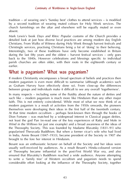tradition – of wearing one's 'Sunday best' clothes to attend services – is modified by a second tradition of wearing muted colours for Holy Week services. The church furnishings on the altar and elsewhere will be equally muted or even absent.

Mark Lewis's book *Days and Rites: Popular customs of the Church* provides a detailed look at just how diverse local practices are among modern day English Christians. From Walks of Witness during Holy Week through harvest festivals and Christingle services, practising Christians bring a lot of 'doing' to their believing. Interestingly, two of these traditions have only become established in Britain during the last fifty years and the oldest – harvest festival services – only goes back to the 1840s. However celebrations and blessings specific to individual parish churches are often older, with their roots in the eighteenth century or earlier.

## What is paganism? What was paganism?

If modern Christianity encompasses a broad spectrum of beliefs and practices then modern paganism is even more difficult to summarise (although academics such as Graham Harvey have effectively done so). From close-up the differences between groups and individuals make it difficult to see any overall 'togetherness'.

In many respects – including some of the fluidity about the nature of deities and such like – modern paganism is much more like Hinduism than any other major faith. This is not entirely coincidental. While most of what we now think of as modern paganism is a result of activities from the 1950s onwards, the pioneers themselves were developing their ideas in the first half of the twentieth century. At that time modern occultism – perhaps best-known then through the books of Dion Fortune – was matched by a widespread interest in Classical pagan deities, not least the god Pan (re-read one of the key experiences of Ratty and Mole in *Wind in the Willows* for just one example) and a broad awareness of the ideas of the Theosophy Society. This was founded by Madame Blavatsky (1831–91) who popularised Theravada Buddhism. But when a former vicar's wife who had lived in India, Annie Besant (1847–1933), became president of the Society in 1907 she brought to the fore her interest in Hinduism.

Besant was an enthusiastic lecturer on behalf of the Society and her ideas were usually well-received by audiences. As a result Besant's Hindu-coloured version of Theosophy became influential in the post-First World War era, and also ensured that Blavatsky's Buddhism reached a wide audience. Anyone attempting to write a 'family tree' of Western occultism and paganism needs to spend considerable effort looking at the influence of the Theosophy Society, together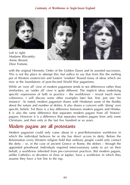

Left to right: *Madame Blavatsky; Annie Besant; Dion Fortune.*



with the original Hermetic Order of the Golden Dawn and its assorted successors. This is not the place to attempt this, but suffice to say that from this the melting pot of Western esotericism and Eastern 'wisdom' flowed many of ideas which are now at the foundations of post-Second World War paganisms.

While an 'over all' view of modern paganisms tends to see differences rather than similarities, an 'under all' view is quite different. The implicit ideas underlying specific expressions of faith or practice – the worldviews – reveal much more coherence. I will discuss some other examples later but, first, just one 'for instance'. As noted, modern paganism shares with Hinduism some of the fluidity about the nature and number of deities. It also shares a concern with 'doing' over specific beliefs. Yet there is a key difference between modern pagans and Hindus. It is also the same difference that separates modern pagans from all 'historic' pagans. However it is a difference that separates modern pagans from only some Christians, and then only in the last five hundred or so years.

## Modern pagans are all protestants

Modern paganism could only come about in a post-Reformation worldview in which the individual believes he or she has direct access to deity. Before the Reformation every Western religion held that ordinary people could only contact the deity – or, in the case of ancient Greece or Rome, the deities – through the appointed priesthood. Individuals required intercessionary saints to act on their behalf, a worldview inherited from pre-conversion practices. But modern pagans, unlike Catholics or devotees of Zeus or Jupiter, have a worldview in which they assume they have a hot line to the top.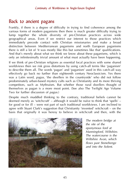## Back to ancient pagans

Frankly, if there is a degree of difficulty in trying to find coherence among the various forms of modern paganisms then there is much greater difficulty trying to lump together the whole diversity of pre-Christian practices across wide geographical areas. Even if we restrict our interest to those practices which immediately precede contact with Christian missionaries and make a broad distinction between Mediterranean paganisms and north European paganisms there is still a lot of 'it was mostly like this but sometimes like that' qualifications. And that's merely about what we think we know about these paganisms, which is only an infinitesimally trivial amount of what must actually have been happening.

If we think of pre-Christian religions as essential local practices with some shared worldviews then we risk gross distortions by using catch-all terms like 'paganism' to describe them all. The words 'pagan' and 'paganism' used in this catch-all way effectively go back no further than eighteenth century Neoclassicism. Yes there was a Latin word, *pagus*, 'the dwellers in the countryside' who did not follow predominately urban-based mystery cults such as Christianity and its more thriving competitors, such as Mythraism. But whether those rural dwellers thought of themselves as pagan is a more moot point. (See also The Twilight Age Volume Two for further discussion of *pagus*.)

Despite much muddled thinking to the contrary, traditional beliefs cannot be deemed merely as 'witchcraft' – although it would be naïve to think that 'spells' – for good or for ill – were not part of such traditional worldviews. I am inclined to agree with Stuart Clark's suggestion that Christianity 'invented' witchcraft – on the basis that originally it was heresy to believe in witchcraft and then, with the



*The modern bridge at the site of the eponymous ford at Manningford, Wiltshire. The watercourse is the Wiltshire Avon, which flows past Stonehenge and into the Solent.*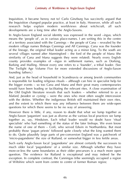Inquisition, it became heresy not to! Carlo Ginzburg has succinctly argued that the Inquisition changed popular practice, at least in Italy. However, while all such research helps explain modern worldviews about witchcraft, all such developments are a long time after the Anglo-Saxons.

In Anglo-Saxon England social identity was expressed in the word –*ingas,* which means the 'people of', as in various place-names. I am writing this in the centre of a territory associated with the Cannings – the people of Cana – revealed by the modern village names Bishops Cannings and All Cannings. Cana was the founder of the lineage, the original tribal leader acting as a minor king. To the south are several villages named after Manningford – the ford of the people of Mana (the similarity of Cana and Mana suggests they were related). Nearly every English county provides examples of  $-\frac{1}{n}$  *examples* in settlement names, such as Dorking, Barking and Malling. Almost every one refers to a 'founder', a tribal leader. (See The Twilight Age Volume Five for more extended discussions of Anglo-Saxon founding fathers.)

And, just as the head of household in Scandinavia or among Jewish communities is responsible for leading religious rituals – although can hire in specialist help for the bigger events – so too Cana and Mana and their great many contemporaries would have been leading or facilitating the relevant rites. A close examination of the Old English literature reveals that such leaders – whether referred to as a *hlaford, þeoden* or *cyning* – were the ones who most often sought intercession with the deities. Whether the indigenous British still maintained their own rites, and the extent to which there was any influence between them are wide-open questions for which there seems to be no way of answering.

However there is little, if any, reason to doubt that what we lump together as Anglo-Saxon 'paganism' was just as diverse as the various local practices we lump together as, say, Hinduism. Each tribal leader would no doubt have 'ritual specialists' who had something of the status of the later bishops. We even know the name of one of them – Coifi, who served Edwin in Northumbria. But most probably those 'pagan priests' followed quite closely what the king wanted them to do. Quite plausibly large parts of pre-conversion England was a patchwork of 'micro-pagandoms' the size of Rutland, or somewhat bigger in less fertile areas.

Such early Anglo-Saxon local 'pagandoms' are almost certainly the successors to much older local 'pagandoms' of a similar size. Although whether they have more-or-less the same boundaries as their older precursors is a much more open question. The evidence for Rutland is exceptional and may indeed be the exception. In complete contrast, the Canningas tribe seemingly occupied a region of Wiltshire which went from *centre to centre* of former Roman *regios*;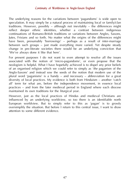The underlying reasons for the variations between 'pagandoms' is wide open to speculation. It may simply be a natural process of maintaining local or family/clan traditions. However, possibly – although not inevitably – the differences might reflect deeper ethnic identities, whether a contrast between indigenous continuations of Romano-British traditions or variations between Angles, Saxons, Jutes, Frisians and so forth. No matter what the origins of the differences might have been, presumably 'borrowings' – perhaps as a result of inter-marriage between such groups – just made everything more varied. Yet despite steady change in pre-literate societies there would be an underlying conviction that 'We've always done it like that here'.

For present purposes I do not want to even attempt to resolve all the issues associated with the notion of 'micro-pagandoms', or even propose that the neologism is helpful. What I have hopefully achieved is to dispel any prior beliefs of an organised religion which we could refer to simply as '*the* paganism of the Anglo-Saxons' and instead sow the seeds of the notion that modern use of the plural word 'paganisms' is a handy – and necessary – abbreviation for a great diversity of local practices. My evidence is both from Hinduism – another 'catch all' term for what are, before the independence movement, in essence local practices – and from the later medieval period in England where each diocese maintained its own traditions for the liturgical year.

However, just as the local practices of Hindus and medieval Christians are influenced by an underlying worldview, so too there is an identifiable north European worldview. But to simply refer to this as 'pagan' is to grossly oversimplify the situation. But before I return to this central issue, I want to draw attention to some different evidence.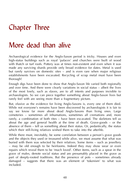# Chapter Three

## More dead than alive

Archaeological evidence for the Anglo-Saxon period is tricky. Houses and even high-status buildings such as royal 'palaces' and churches were built of wood with thatch or turf roofs. Pottery was at times non-existent and even when it was made any surviving shards provide only broad evidence for dates. Metal is used but rarely survives on domestic sites – and is even rare when major religious establishments have been excavated. Recycling of scrap metal must have been thorough!

Enough digs have been done to show that Anglo-Saxon life varied both regionally and over time. And there were clearly variations in social status – albeit the lives of the most lowly, such as slaves, are to all intents and purposes invisible to archaeologists. So we can piece together something about Anglo-Saxon lives but rarely feel with are seeing more than a fragmentary picture.

But, elusive as the evidence for living Anglo-Saxons is, every one of them died. While not everyone's remains have been discovered by archaeologists it is fair to say we know far more about dead Anglo-Saxons than living ones. Large cemeteries – sometimes all inhumations, sometimes all cremations and, more rarely, a combination of both rites – have been excavated. The skeletons tell us about the age and general health at the time of death. Grave-goods – or the absence of them – tell us something about their status. Or, pedantically, the status which their still-living relatives wished them to take into the afterlife.

While there must, inevitably, be some correlation between a person's grave goods and the objects they used or treasured while alive, we must assume that what was buried with them was selected by their relatives. Some items – such as jewellery – may be old enough to be heirlooms. Indeed they may show wear or even repairs which reveal them to be 'much loved'. Other items, such as a spear in the grave of males, denote social status and are presumably placed in the grave as part of deeply-rooted traditions. But the presence of pots – sometimes already damaged – suggests that there was an element of 'tokenism' to what was included.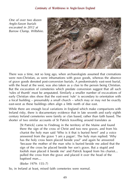*One of over two dozen Anglo-Saxon burials excavated in 2012 at Barrow Clump, Wiltshire.*



There was a time, not so long ago, when archaeologists assumed that cremations were non-Christian, as were inhumations with grave goods, whereas the absence of grave goods denoted post-conversion burials. A predominately east-west burial, with the head at the west, was also taken as a clue to the person being Christian. But the excavation of cemeteries which predate conversion suggest that all such 'rules of thumb' must be amputated. Similarly a smaller number of excavations of early Christian sites show that the east-west 'rule' is secondary to orientation with a focal building – presumably a small church – which may or may not be exactly east-west as these buildings often align a little north of due east.

While there are enough local variations in England which make comparisons with Ireland risky, there is documentary evidence that in late seventh and early eighth century Ireland cemeteries were family or clan based, rather than faith based. The shorter of two similar accounts of St Patrick travelling around translates as

[St Patrick] came to Findmag in the territory of the Maine and found there the sign of the cross of Christ and two new graves, and from his chariot the holy man said 'Who is it that is buried here?' and a voice answered from the grave 'I am a pagan'. The holy man replied: 'Why has the holy cross been placed beside you?' and again he answered 'because the mother of the man who is buried beside me asked that the sign of the cross be placed beside her son's grave. But a stupid and foolish man placed it beside me' and Patrick leaped from his chariot… pulled the cross from the grave and placed it over the head of the baptised man…

(Bieler 1979: 155–7)

So, in Ireland at least, mixed faith cemeteries were normal.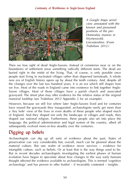

*A Google Maps aerial view annotated with the known and presumed positions of the pre-Domesday manors in Wymeswold, Leicestershire. (From Trubshaw 2012.)*

Then we lose sight of dead Anglo-Saxons. Instead of cemeteries near or on the boundaries of settlement areas something radically different starts. The dead are buried right in the midst of the living. That, of course, is only possible once people start living in nucleated villages rather than dispersed farmsteads. A whole new era of English history opens up by about the tenth century. And, despite all the changes over the last two hundred years, it is an era which still shapes how we live. Most of the roads in England came into existence to link together Anglo-Saxon villages. Most of those villages have a parish church and associated graveyard. The street plan may offer evidence for the relative status of the original manorial lordship (see Trubshaw 2012 Appendix 2 for an example).

However, because we still live where later Anglo-Saxons lived and for centuries have reused the graveyards they inaugurated, archaeologists rarely get more than a 'key hole' view of the lives or even deaths of these people who shaped much of England. And they shaped not only the landscape of villages and roads, they shaped our national religion. Furthermore, these people also set into place the language, the political administration and legal system of the country, albeit all subsequently evolved more-or-less steadily over the centuries.

## Digging up beliefs

Archaeologists can dig up all sorts of evidence about the past. States of preservation can vary considerably but, overall, much can be gleaned about the material culture. But one realm of evidence never survives – evidence for intangible culture, such as beliefs. Or at least that is the way things used to be. But in recent decades archaeologists investigating the earliest phases of human evolution have begun to speculate about how changes in the way early humans thought affected the evidence available to archaeologists. This is termed 'cognitive archaeology' and has proven to offer fruitful – if invariably contested – insights.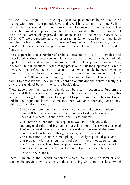So useful has cognitive archaeology been to paleoarchaeologists that those dealing with more recent periods have said 'We'll have some of that too.' So little surprise that some of the leading names in Anglo-Saxon archaeology have taken just such a cognitive approach, qualified by the recognition that '… we know that even the best archaeology provides no open access to the mind.' (Carver *et al* 2010: ix) These are the prefatory words of Martin Carver, Alex Sanmark and Sarah Semple to a book called *Signals of Belief in Early England: Anglo-Saxon paganism revisited*. It is a collection of papers from three conferences over the preceding five years.

These papers look at a number of archaeological topics – sites of 'temples' and water-based 'shrines', evidence for high-status domestic houses or halls, animals depicted in art, and animal remains left after butchery and cooking. And, inevitably, burial practices. So far, fairly predictable. But their approach is more novel. As the preface states, they assume that 'what people believed, whether pure reason or intellectual mish-mash, was expressed in their material culture' (Carver *et al* 2010: ix) so can be recognised by archaeologists. However they are careful to emphasis that they are not recording or studying the beliefs directly but only the 'signals of belief' – hence the book's title.

These papers confirm that such signals can be clearly recognised. Furthermore they reveal that beliefs varied from place to place as well as over time. And, this is where things get a little radical compared to preceding interpretations, Carver and his colleagues no longer assume that there was an 'underlying consistency' with local variations. Instead:

Since every community is likely to have its own take on cosmology, there will be many hundreds of communities to study before an underlying system  $-$  if there was one  $-$  is to emerge.

Our premise is therefore that paganism was not a religion with supraregional rules and institutions but a loose term for a variety of local intellectual world views… More controversially, we extend the same courtesy to Christianity. Although insisting on its universality, Christianisation too hides a multiplicity of locally negotiated positions, that probably did not amount to a religion (in the orthodox sense) until the 8th century or later. Neither paganism nor Christianity are treated here as independent agents, out to confront and better each other.

(Carver *et al* 2010: ix)

There is much in the second paragraph which should now be familiar after reading the previous two chapters. Indeed if seeing Christianity as local world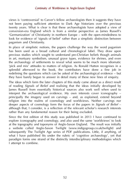views is 'controversial' to Carver's fellow archaeologists then it suggests they have not been paying sufficient attention to Dark Age historians over the previous twenty years. What is clear is that these archaeologists have adopted a view of conversion-era England which is from a similar perspective as James Russell's 'Germanization' of Christianity in northern Europe – with the open-mindedness to look for evidence of 'signals of belief' rather than a simplistic distinction between paganism and Christianity.

In place of simplistic notions, the papers challenge the way the word paganism has been used as a broad cultural and chronological label. They draw upon previous studies which sought to understand pre-Christian beliefs though animals in art, mortuary symbolism, unusual grave types, evidence for shrines, and even the archaeology of settlements to reveal what seems to be much more idiomatic 'pick and mix' attitudes to matters of religion. As Ronald Hutton recognises in a splendid afterword to the book, the contributors have done a fine job in redefining the questions which can be asked of the archaeological evidence – but they have barely begun to answer in detail many of these new lines of enquiry.

The ideas which form the later chapters of this study came about as a direct result of reading *Signals of Belief* and realising that the ideas initially developed by James Russell from essentially historical sources also work well when used to interpret the archaeological evidence. My own interests cover iconography – principally the imagery used on carvings – and, as explained, extend beyond religion into the realms of cosmology and worldviews. Neither carvings nor deeper aspects of cosmology form the focus of the papers in *Signals of Belief* – although that, I consider, is a reflection of the relevant scholar's research interests rather than any fundamental reason for their being excluded.

Since the first edition of this study was published in 2013 I have continued to explore iconography and cosmology, and also used the same 'worldviews' to look at the topography and toponyms of Anglo-Saxon England. The result was initially a website called Anglo-Saxon Twilight (www.indigogroup.co.uk/twilight) and subsequently The Twilight Age series of PDF publications. Little, if anything, of what I have published fits under the rubric of 'cognitive archaeology', yet that paradigm forms one strand of the distinctly interdisciplinary methodologies which I attempt to combine.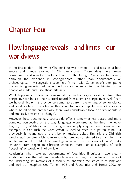# Chapter Four

## Howlanguage reveals – and limits – our worldviews

In the first edition of this work Chapter Four was devoted to a discussion of how *weohs* and *stapols* evolved in Christian crosses. Those ideas have grown considerably and now form Volume Three of The Twilight Age series. In essence, although the evidence is iconographical rather than documentary or archaeological, my suggestions seemingly fit well with Carver *et al*'s attempts to use surviving material culture as the basis for understanding the thinking of the people of made and used those artefacts.

What happens if instead of looking at the archaeological evidence from this perspective we look at the historical record from a similar perspective? Well firstly we have difficulty – the evidence comes to us from the writing of senior clerics and legal scribes. They offer neither a neutral nor complete view of a society where, based on the archaeology, there was considerable local diversity of culture and successive 'waves of change'.

However these documentary sources do offer a somewhat less biased and more complete perspective on the way languages were used at the time – whether English, Irish, Welsh or Latin. Existing words simply acquire new meanings. For example, in Old Irish the word *érlam* is used to refer to a patron saint. But previously it meant 'god of the tribe' or 'tutelary deity'. Similarly the Old Irish word *cretair* denotes a Christian relic – but previously referred to an amulet. In a similar manner the Old Norse word *gipta*, which has the sense of 'luck', shifts smoothly from pagan to Christian contexts. More subtle examples of such 'recycling' of words will follow later.

Academics who make up departments of 'cognitive linguistics' have clearly established over the last few decades how we can begin to understand many of the underlying assumptions of a society by analysing the structure of language and intrinsic metaphors (see Turner 1996 and Fauconnier and Turner 2002 for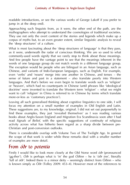readable introductions, or see the various works of George Lakoff if you prefer to jump in at the deep end).

Approaching such linguists from, as it were, the other end of the path, are the mythographers who attempt to understand the cosmologies of traditional societies. They use not only the overt content of the stories and legends which make up a corpus of myths but, to an even greater extent, similar linguistic analysis to reveal the 'deep structures' of a culture.

What is most fascinating about the 'deep structures of language' is that they pass, as it were, underneath the radar of conscious thinking. We are so used to what commonly-used words signify that we rarely stop to think about those meanings. And few people have the vantage point to see that the meanings inherent in the words of one language group do not match words in a different language group. The exception would be people who are bilingual in an Asian language, such as Chinese, and variants of Indo-European languages, such as English. For example, even 'verbs' and 'nouns' merge into one another in Chinese, and tenses – the sense of future and past in a statement – also translate poorly into Western languages. And that's before we even begin to translate words such as 'religion' or 'heaven', which had no counterparts in Chinese (until phrases like 'ideological doctrine' were invented to translate the Western term 'religion' – what we might want to call 'religion' in China is referred to in Chinese by terms which translate more-or-less as 'customary practices').

Leaving all such generalised thinking about cognitive linguistics to one side, I will focus my attention on a small number of examples in Old English and Latin. These suggestions are, to my knowledge, original. I did not set out purposefully to find these examples, they just 'revealed themselves' as I was reading various books about Anglo-Saxon England and Migration Era Scandinavia soon after I had read *Signals of Belief*, with the specific suggestions of *continuity* of religious activity across what has hitherto been regard as a sharp divide between pre-Christian and post-conversion outlooks.

There is considerable overlap with Volume Two of The Twilight Age. In general the scope of that work is wider while these remarks deal with a smaller number of examples are more detail.

## From *óðr* to *potentia*

Firstly I would like to look more closely at the Old Norse word *óðr* (pronounced 'oo-ther'). *Óðr* is perhaps what is 'in' the god *Óðinn* – he is '*óðr inn'*, literally 'full of *óðr'*. Indeed there is a minor deity – seemingly distinct from Óðinn – who is known simply as Óðr (Tolley 2009: 453–4). However most of the references to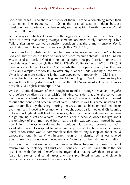*óðr* in the sagas – and there are plenty of them – are to a something rather than a someone. The frequency of *óðr* in the original texts is hidden because translators use a variety of modern words, such as 'spirit', 'breath', 'prophecy' and 'inspired utterance'.

All the ways in which *óðr* is used in the sagas are consistent with the notion of a sense of power manifesting *through* someone or, more rarely, something. Clive Tolley, after an exhaustive discussion, considers that the primary sense of *óðr* is 'spirit affording intellectual inspiration' (Tolley 2009: 180).

There is an Old English word, *ond* which seems to be derived from the Old Norse *ond* and *andi* which are both variants of a word meaning 'breath'. In Old English *ond* is used to translate Christian notions of 'spirit', but pre-Christian contexts the word denotes 'life-force' (Tolley 2009: 179–80; Pollington *et al* 2010: 425–6). If there is a counterpart to *óðr* in Old English then it is perhaps *ond*, but the pre-Christian examples are too few to offer any nuanced understanding of the word. What is even more confusing is that *ond* appears very frequently in Old English – this is the homophone which gives the Modern English 'and'! Therefore to play safe in the following discussion I will use the Old Norse word *óðr* rather than its possible Old English counterpart *ond*.

Was the 'spiritual power' of *óðr* thought to manifest through *woehs* and *stapols*? And before you dismiss this as wishful thinking, consider that after the conversion the power of Christ – his *potentia* or 'potency' – was considered to manifest through the bones and other relics of saints. Indeed it was this same *potentia* that was 'channelled' by the clergy during the Mass and to bless or heal people or even animals. Indeed a brief moment's thought about early medieval Christianity, not only in England, will lead to the recognition that the only difference between a high-ranking priest and a saint is that the latter is dead. A longer thought about the ontology of the time would hold that the saint was *not* dead. Instead he was now living in the Otherworld rubbing shoulders with the real 'powers that be' – so ideally placed to respond to intercessionary prayers for benefactory changes. Local canonisation was so commonplace that almost any bishop or abbot could expect the honorific 'saint' within a few years of his demise. What was revered about these local saints was the *potentia* or 'potency' of their shrines and relics.

Just how much difference in worldview is there between a priest or saint transmitting the 'potency' of Christ and *weohs* and such like 'transmitting' the *óðr* associated with Óðinn? If *weohs* were regarded as having *óðr* then presumably 'earth fast stones' and certain trees and wells prohibited in tenth and eleventh century edicts also possessed the same ability.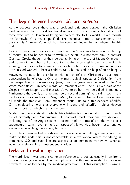## The deep difference between *óðr* and *potentia*

At the deepest levels there was a profound difference between the Christian worldview and that of most traditional religions. Christianity regards God and all those who live in Heaven as being somewhere else to this world – even though the 'somewhere' is never specified. The technical term is 'transcendent'. The antonym is 'immanent', which has the sense of 'indwelling or inherent in this realm'.

Judaism is an entirely transcendent worldview – Moses may have gone to the top of Mount Sinia to be nearer to Yahweh, but he still did not meet him. In contrast Classical Greeks thought of their deities as living on the top of Mount Olympus – and some of them had a bad rap for making mortal girls pregnant, which is seemingly rather easy for immanent deities but a tad trickier for transcendent ones – when God wanted to bear a child by Mary he enlisted the help of an archangel.

However, we must however be careful not to refer to Christianity as a purely transcendent belief system. One of the most radical aspects of Christianity, from the perspective of contemporary Jews, was that Jesus was believed to be 'the Word made flesh' – in other words, an immanent deity. There is even part of the Gospels where Joseph is told that Mary's yet-to-be-born will be called 'Immanuel'. Furthermore there will, at some time, be a 'second coming'. And saints too – from the top-level ones, such as the Virgin Mary, to the most obscure local ones – have all made the transition from immanent mortal life to a transcendent afterlife. Christian doctrine holds that everyone will spend their afterlife in either Heaven or Hell – both of which are transcendent.

Modern secular society still reflects this Christian transcendentalism in terms such as 'otherwordly' and 'supernatural'. In contrast, most traditional worldviews – including that of the Anglo-Saxons – do not think in terms of an otherworld or a supernatural realm – everything is an aspect of this world, although not all entities are as visible or tangible as, say, humans.

So, while a transcendent worldview can conceive of something coming from the realm of the gods, this is not conceivable in a worldview where everything in immanent. *Óðr* and such like are aspects of an immanent worldview, whereas *potentia* originates in a transcendent ontology.

## Leeks and royal inaugurations

The word 'leech' was once a common reference to a doctor, usually in an ironic or overtly derogatory way. The assumption is that this usage relates to the onceprevalent use of leeches by the medical profession. But this assumption is wrong.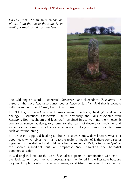*Lia Fáil, Tara. The apparent emanation of* leac *from the top of the stone is, in reality, a result of rain on the lens...* 



The Old English words 'leechcraft' (*læcecræft*) and 'leechdom' (*læcedom*) are based on the word *leac* (also transcribed as *leace* or just *lac*). And that is cognate with the modern word 'leek', but not with 'leech'.

In Old English *læcedom* meant 'medicament, medicine; healing', and – by analogy – 'salvation'. *Læcecræft* is, fairly obviously, the skills associated with *læcedom*. Both leechdom and leechcraft remained in use well into the nineteenth century as somewhat derogatory terms for the realm of doctors or medicine, and are occasionally used as deliberate anachronisms, along with more specific terms such as 'wortcunning'.

But while the supposed healing attributes of leeches are widely known, what is it about leeks which gives their name to the realm of medicine? Is there some secret ingredient to be distilled and sold as a herbal remedy? Well, a tentative 'yes' to the secret ingredient but an emphatic 'no' regarding the herbalist commercialisation.

In Old English literature the word *læce* also appears in combination with *stan-* – the 'leek stone' if you like. And *læcestans* get mentioned in the literature because they are the places where kings were inaugurated (strictly we cannot speak of the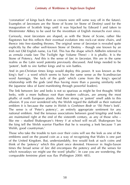'coronation' of kings back then as crowns were still some way off in the future). Examples of *læcestans* are the Stone of Scone (or Stone of Destiny) used for the inauguration of Scottish kings until it was hijacked by Edward I and taken to Westminster Abbey to be used for the investiture of English monarchs ever since.

Curiously, most *læcestans* are shaped, as with the Stone of Scone, rather like flagstones but this reflects their eventual evolution into rock-cut stone chairs, and thence into free-standing thrones. The original sense of *læcestan* is revealed quite explicitly by the other well-known Stone of Destiny – though one known by an Irish not Old English name, Lia Fáil. This has the shape which Aldhelm referred to as *ermula cruda* (see The Twilight Age Volume Three) – it is phallic. It is the Stone of Potency. And this is the sense of *læc* in *læcestan*. We are in the same realms as the Latin word *potentia* previously discussed. And kings needed to be 'potent', both to sire further kings and to win battles.

And in pre-Christian times kings would deploy this power. It was known as the king's *hæl* – a word which seems to have the same sense as the Scandinavian word *hamingja*, 'the luck of the gods' which came from the king's special relationship with the gods (and thus having more than a passing similarity with the Japanese idea of *kami* manifesting through powerful leaders).

The link between *læc* and leeks is not so spurious as might be first thought. Wild leeks, with a more bulbous root than modern cultivars, are among the most phallic of north European plants. And their strong or 'potent' smell adds to this allusion. If you ever wondered why the Welsh regard the daffodil as their national emblem it is because the name in Welsh is *Cenhinen Bedr* or '(St) Peter's leek'. The sense is of 'Peter's potency', an entirely appropriate sentiment for any national emblem. And the tenuous associations between good kingship and leeks are maintained right at the end of the sixteenth century, as any of those who – like me – studied Shakespeare's *Henry V* at school will recall. Shakespeare has the king tell the Welsh warrior Fluellen that he is wearing a leek because 'I am Welsh, good countryman.'

Those who take the trouble to turn over their coins will see the leek as one of the emblems used on the pound coin as a way of recognising that Wales is one part of the United Kingdom. But, understandably, few would look at such coins and think of the 'potency' which this plant once denoted. However in Anglo-Saxon times the broad sense of *læc* did encompass the potency and all the senses for which nowadays we might use the word 'phallic'. In case you are wondering, the comparable feminine plant was flax (Pollington 2000: 485).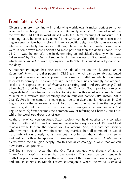## From fate to God

Given the inherent continuity in underlying worldviews, it makes perfect sense for *potentia* to be thought of in terms of a different type of *óðr*. A parallel would be the way the Old English word *metod*, with the literal meaning of 'measurer' but denoting 'fate', becomes a by-name for the Christian God. This is not because the pagan sense of fate had a close link to a specific deity. Pre-Christian notions of fate were essentially humanistic, although linked with the female *nornir,* who were in some ways more ancient and more powerful than the deities (Stone 1989: 21–2). It was the *nornir*'s role in determining an individual's destiny which was 'taken over' by God. Only subsequently did the concept of God develop in ways which made *metod,* a word synonymous with 'fate' less suited as a by-name for the deity.

As Stephen Pollington has discussed, the tale of Creation which forms part of *Caedmon's Hymn* – the first poem in Old English which can be reliably attributed to a poet – seems to be composed from formulaic half-lines which have been selected to convey a Christian message. Yet the half-lines seemingly are archaic, so did such expressions as *eci dryhten* ('everlasting lord') and *frea almectig* ('lord all-mighty') – used by Caedmon to refer to the Christian God – previously refer to pagan deities? The situation is unclear for *dryhten* as this word is commonly used to refer to a warlord but seemingly not in religious contexts (Pollington 2011: 242–3). *Frea* is the name of a male pagan deity in Scandinavia. However in Old English poetry the sense seems to of 'lord' or 'dear one' rather than the recycled name of god. But there must have been some ambiguity because in later Old English texts *dryhten* becomes the common way of referring to Christ as 'our Lord' while the word *frea* drops out of use.

At the time of conversion Anglo-Saxon society was held together by a complex notion of kith and kin, and of personal service to a *dryht* or lord. Kin are blood relatives while kith are the people you live among. And, in a patrilocal society where women left their own kin when they married then all communities would be a mix of kin (mostly adult men but including all the children and some widows) and kith – the spouses of these men. By using the word *dryhten* early clergy wove their religion deeply into this social cosmology in ways that we can now barely comprehend.

Old English poems reveal that the Old Testament god was thought of as the 'maker' or 'shaper' – more so than the 'creator'. This would be consistent with north European cosmogonic myths which think of the primordial cow shaping ice and fire, in contrast to Middle Eastern cosmogonies where the world is created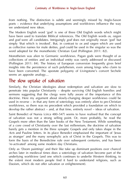from nothing. The distinction is subtle and seemingly missed by Anglo-Saxon poets – evidence that underlying assumptions and worldviews influence the way we understand new ideas.

The Modern English word 'god' is one of three Old English words which might have been used to translate Biblical references. The Old English words *os, rægen* and *god* were all candidates. Intriguingly *god* does not originally mean 'god' but simply 'that which is invoked'. But, in contrast to *os* and *rægen* which are used as collective names for male deities, *god* could be used in the singular so was the word adopted for the monotheistic Christian God (Pollington 2011: 82).

Monotheism was alien to Germanic worldviews. Pagan gods were thought of as collections of entities and an individual entity was rarely addressed or discussed (Pollington 2011: 84). The history of European conversion frequently gives brief insights into the persistence of such polytheism, even among kings who claim to have been converted. The apostate polygamy of Livingstone's convert Sechele seems an apposite analogy…

### The slow uptake of salvation

Similarly, the Christian ideologies about redemption and salvation are slow to penetrate into popular Christianity – despite surviving Old English homilies and sermons suggesting that the clergy were fully aware of the importance of this doctrine. Here my argument about slowly-changing deeper worldviews could be used in reverse – in that any form of soteriology was entirely alien to pre-Christian worldviews, so there was no precedent which provided a foundation on which to develop the rather abstract – and, at that time, entirely novel – ideas of salvation.

Saint Benedict of Nursia (*circa* 480–547) seems to have realised that the concept of salvation was not a strong selling point. Or, more probably, he read the Gospels more often than the later books of the New Testament. While something of a core creed of Christianity over the last millennium, the doctrine of salvation barely gets a mention in the three synoptic Gospels and only takes shape in the *Acts* and Pauline letters. In its place Benedict emphasised the important of 'Jesus as stranger' and the many xenophylic acts of Christ in the Gospels. This was to form the basis of the Benedictine rule over subsequent centuries, and has been 're-activated' among some modern day Christians.

Only as 'Doom paintings' and their like take up dominant positions over chancel arches later in medieval times does a soteriology of salvation become part of the underlying worldview (and one which continues to underlie Western thinking, to the extent most modern people find it hard to understand religions, such as Daoism, which do not offer salvation or enlightenment).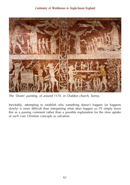

*The 'Doom' painting, of around 1170, in Chaldon church, Surrey.*

Inevitably, attempting to establish why something doesn't happen (or happens slowly) is more difficult than interpreting what *does* happen so I'll simply leave this as a passing comment rather than a possible explanation for the slow uptake of such core Christian concepts as salvation.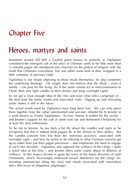# Chapter Five

### Heroes, martyrs and saints

Sometime around AD 400 a Gaulish priest known to posterity as Vigilantius considered the emergent cult of the relics of Christian saints to be little more than 'a virtually pagan rite introduced into churches on the pretext of religion' with the result that Christians everywhere 'kiss and adore some kind of dust, wrapped in a little container of precious cloth.'

Vigilantius is not simply objecting to these rituals themselves, he also condemns the underlying theology. He simply does not believe that the dead – even if saintly – can pray for the living. So, if the saints cannot act as intercessionaries to Christ, then why light candles at their shrines and keep overnight vigils?

So we get a clear enough idea of the rites and even what relics comprised of – the dust from the saints' tombs and associated cloth. Digging up and relocating saints' bones is still in the future.

The actual words used by Vigilantius have long been lost. We can only piece them together from the rather unrestrained and sarcastic rebuttal by St Jerome in a work known as *Contra Vigilantium*. As ever, history is written by the victors – and Jerome's support for the cult of saints won out and dominated Christianity for at least the next millennium.

To be fair to Jerome, he too feels a bit iffy about the candles and vigils as he recognises that this is indeed what pagans do at the shrines to their deities. But the candles concern him less than the 'notorious practices' associated with overnight vigils – and here he seems to be referring to what Christian converts get up to rather than just their pagan precursors – and emphasises the need to engage in such rites devoutly. Vigilantius also opposed the celibacy of the clergy – quite a novel idea at the time – and Jerome offers some coarse abuse in defence of celibacy. In this respect Jerome is again the voice of the future direction of Latin Christianity, which increasingly embraced sexual abstinence by the clergy (reinventing monasticism along the way) and rituals associated with miraculous relics (the focus of ubiquitous pilgrimage).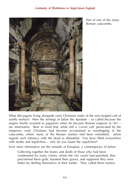

*Part of one of the many Roman catacombs.*

What did pagans living alongside early Christians make of the new-fangled cult of saintly martyrs? Here the writings of Julian the Apostate – so called because the empire briefly reverted to paganism when he became Roman emperor in 361 – are informative. Bear in mind that, while still a 'covert cult' persecuted by the emperors, early Christians had become accustomed to worshipping in the catacombs, where many of the Roman martyrs had been entombed. Julian regards such intimacy with the dead as distasteful. 'You have filled everywhere with tombs and sepulchres... why do you haunt the sepulchres?'

Even more informative are the remarks of Eunapius, a contemporary of Julian:

Collecting together the bones and skulls of those who had been condemned for many crimes, whom the city courts had punished, they proclaimed them gods, haunted their graves, and supposed they were better by defiling themselves at their tombs. They called them martyrs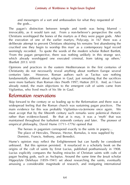and messengers of a sort and ambassadors for what they requested of the gods...

The pagan's distinction between temple and tomb was being blurred – irrevocably, as it would turn out. From a non-believer's perspective the early Christians worshipped the bones of the martyrs as if they were pagan gods. After the execution of one of the earlier martyrs, Polycarp, in 167 there was a deliberate attempt to prevent Christians obtaining his remains 'lest abandoning the crucified one they begin to worship this man' as a contemporary legal record seemingly recorded. To quote the words of the modern scholar Robert Bartlett, 'From the pagan perspective, there was nothing unlikely in this strange sect, which already worshipped one executed criminal, from taking up others.' (Bartlett 2013: 610)

Opinions and practices in the eastern Mediterranean in the first centuries of Christianity do not necessarily reveal anything about northern Europe several centuries later. However, Roman authors such as Tacitus saw nothing fundamentally different about religion in Gaul, just remarking that the sacrifices were more barbaric than Roman rites (North 1997; Hutton 2013). And, as I have already noted, the main objections to the emergent cult of saints came from Vigilantius, who lived much of his life in Gaul.

### Reformation reservations

Skip forward to the century or so leading up to the Reformation and there was a widespread feeling that the Roman church was sustaining pagan practices. The main evidence for this was probably Vigilantius-via-Jermone once again. We must accept that by the fifteenth century such remarks were polemical rhetoric rather than evidence-based. Be that at is may, it was a 'myth' that was maintained throughout the turbulent sixteenth century and later. The pioneer of empirical philosophy, David Hume (1711–1776) opined that

The heroes in paganism correspond exactly to the saints in popery… The place of Hercules, Theseus, Hector, Romulus, is now supplied by Dominic, Francis, Anthony, and Benedict.

Hume's opinion may reflect the Enlightenment but can hardly be considered unbiased. But this opinion persisted. It resurfaced in a scholarly book on the origins of the cult of saints by Ernst Lucius, published posthumously in 1908. Lucius explicitly compares the healing miracles of Christian saints with cults of pagan healing gods, such as Asclepius. Around the same time the Jesuit scholar Hippoylyte Delehaye (1859–1941) set about researching the saints, eventually amassing a considerable magnitude of research, and instigating international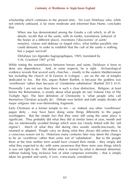scholarship which continues to the present time. Yet even Delehaye who, while not entirely unbiased, is far more moderate and informed than Hume, concludes that

When one has demonstrated among the Greeks a cult which, in all its details, recalls that of the saints, with its tombs, translations [reburial of the bones at a different place], inventions ['discoveries' of saints' remains], visions and dubious or forged relics, what further parallels one could demand, in order to establish that the cult of the saints is nothing but a pagan survival?

(Delahaye *Les légendes hagiographiques*, 1905; translated by V.M. Crawford 1907 p156)

While noting the resemblances between heroes and saints, Delahaye is keen to deny any dependence. And, in some respects, he is right. Archaeological evidence reveals that several early churches – mostly in the eastern Mediterranean but including the church of St Gereon in Cologne – are on the site of temples dedicated to Isis. But this, argues Robert Bartlett, is because the goddess was 'overthrown' rather than because of 'clandestine substitution' (Bartlett 2013: 613).

Personally I am not sure than there is such a clear distinction. Religion, at least before the Reformation, is mostly about what people do (see Volume One of The Twilight Age). The best definition of Christianity is 'what people who call themselves Christian actually do'. Debate over beliefs and faith simply divides all major religions into ever-diminishing fragments.

Early Christians at a former temple to Isis – or, indeed, any other 'overthrown' pagan deity – may have been doing some things differently to the pagan worshippers. But the simple fact that they were still using the same place is significant. They probably did what they did at similar times of year, month and day (or intentionally avoided timings which were too closely linked with the 'old regime'). Much of what they did during rites would, unselfconsciously, be retained or adapted. People carry on doing what they always did unless there is a conscious reason not to. Historians many centuries later may deem the changes to be an 'overthrow' rather than some sort of 'substitution'. But to the people there at the time neither term would have crossed their minds – they simply did what they expected to do, with some awareness that there were now things which is was not right to do. We define what is normal by what is deemed *abnormal*, without making long inclusive lists of what comprises normality – that is simply taken for granted and rarely, if ever, consciously considered.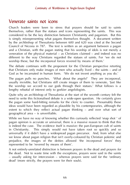### Venerate saints not icons

Church leaders were keen to stress that prayers should be said to saints themselves, rather than the statues and icons representing the saints. This was considered to be the key distinction between Christianity and paganism. But this is simply misrepresenting what pagans themselves thought. A document written by the archbishop of Thessalonia between 600 and 620 was cited at the Second Council of Nicosia in 787. The text is written as an argument between a pagan and a Christian, with the pagan stating that his worship of idols is not merely a veneration of the physical material – as Christians claimed – and indeed was no different to the way Christians regarded the statues of saints. For 'we do not worship these, but the incorporeal forces revered by means of them.'

The debate continues with the proponent for the Christian perspective retorting that Christians only make images of men who actually lived – the saints – and of God as he incarnated in human form. 'We do not invent anything as you do.'

The pagan pulls no punches. 'What about the angels?' They are incorporeal, usually invisible, but Christians still create images of them to venerate, 'Just like the worship we accord to our gods through their statues.' What follows is a lengthy rebuttal of interest only to geekier angelologists.

Quite why an archbishop of Thessalonia at the start of the seventh century felt the need to write this fictionalised debate is a wide-open question. He certainly gives the pagan some hard-hitting remarks for the cleric to counter. Presumably these ideas would have been regarded as plausible by his contemporaries, although the extent to which they reflect actual pagan thinking – and over what sort of geographical area – is unverifiable.

While we have no way of knowing whether this curiously reflected 'snap shot ' of pagan opinion is accurate or universal, there is a massive reason to think that this is indeed the case. The evidence itself is massive: the pan-European cult of saints in Christianity. This simply would not have taken root so quickly and so universally if it didn't have a widespread pagan precursor. And, from what else we know about pagan religion that isn't overly-coloured by Christian polemic and prejudice, the images of the deities allowed 'the incorporeal forces' they represented to be 'revered by means of them'.

A not entirely-unrelated distinction is between prayers *to* the dead and prayers *for* the dead. Not to waste time with the exceptions, prayers were said *to* the saints – usually asking for intercession – whereas prayers were said *for* the 'ordinary dead' (more strictly, the prayers were for their souls).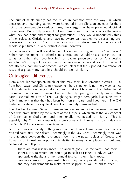The cult of saints simply has too much in common with the ways in which ancestors and 'founding fathers' were honoured in pre-Christian societies for there not to be considerable overlaps. Yes, the clergy may have preached doctrinal distinctions. But mostly people kept on doing – and unselfconsciously thinking – what they had done and thought for generations. They would undoubtedly think of themselves as Christians, and have no awareness that they were sustaining preconversion practices. Such distinctions and narratives are the outcome of scholarship situated in very distinct cultural contexts.

So, for a moment I will revert to Bartlett's attempt to regard Isis as 'overthrown' rather than the subject of 'clandestine substitution'. Would he also see the cult of saints as either the 'overthrowing' of pagan precursors or as 'clandestine substitution'? I suspect neither. Surely to goodness he would see it for what it actually was: continuity of practice. Which infers that the supposed 'overthrow' of Isis, and a great many parallels, should be seen similarly.

### Ontological differences

From a secular standpoint, much of this may seem like semantic niceties. But, from both pagan and Christian viewpoints, the distinction is not merely semantics but fundamental ontological distinctions. Before Christianity the deities found throughout Europe were immanent – even the Olympian gods readily 'walked this earth' (see Volume Two of The Twilight Age). Pagan hero-gods, like saints, were fully immanent in that they had been born on this earth and lived here. The Old Testament Yahweh was quite different and entirely transcendent.

The 'bridge' between Semitic transcendent deities and Greco-Roman immanent ones was promulgated by the writers of the Gospels, which stress the key concept of Christ being God's son and intentionally 'manifested' on Earth. This is arguably why Christianity made far more converts in Europe than did Judaism – the 'implicit' beliefs were more familiar.

And there was seemingly nothing more familiar than a living person becoming a revered saint after their death. Seemingly is the key word. Seemingly there was no difference between the reverence shown to the pagan deities of Greece and Roman – or indeed anthropomorphic deities in many other places and cultures. As Robert Bartlett puts it:

There are real resemblances. The ancient gods, like the saints, had their shrines, too, to which one could go to seek assistance or advice with appropriate rituals, and their annual festivals; they might appear in dreams or visions, to give instructions; they could provide help in battle; and they had demands to make of worshippers as well as aid to offer.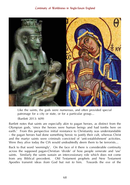

Like the saints, the gods were numerous, and often provided special patronage for a city or state, or for a particular group…

(Bartlett 2013: 609)

Bartlett notes that saints are especially akin to pagan heroes, as distinct from the Olympian gods, 'since the heroes were human beings and had tombs here on earth.' From this perspective initial resistance to Christianity was understandable – the pagan heroes had done something heroic to justify their cult, whereas Christ and the martyr saints were criminals convicted of 'anti-establishment' activities. Were they alive today the CIA would undoubtedly deem them to be terrorists...

Back to that word 'seemingly'. On the face of it there is considerable continuity across the supposed pagan-Christian 'divide' of how people venerate and 'use' saints. Similarly the saints sustain an intercessionary role which does not come from any Biblical precedent. Old Testament prophets and New Testament Apostles transmit ideas *from* God but not *to* him. Towards the eve of the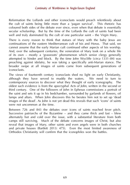Reformation the Lollards and other iconoclasts would preach relentlessly about the cult of saints being little more than a 'pagan survival'. This rhetoric has coloured both sides of the debate ever since, even when that debate is essentially secular scholarship. But by the time of the Lollards the cult of saints had been well and truly dominated by the cult of one particular saint – the Virgin Mary.

There is every reason to think that statues of Mary with the baby Jesus are continuations of the eastern Mediterranean cult of Isis and Horus. That said, we cannot assume that the early Marian cult continued other aspects of Isis worship. And, over the subsequent centuries, the veneration of Mary took on a whole life of its own – mostly a 'grassroots' phenomenon which senior clergy generally attempted to hinder and block. By the time John Wycliffe (*circa* 1331–84) was preaching against idolatry, he was taking a specifically anti-Marian stance. The broader swipe at all images of saints came from subsequent generations of iconoclasts.

The views of fourteenth century iconoclasts shed no light on early Christianity, although they have served to muddy the waters. We need to turn to contemporary sources to discover what they thought of early iconography. The oldest such evidence is from the apocryphal *Acts of John*, written in the second or third century. One of the followers of John in Ephesus commissions a portrait of the saint and sets it up in his bedchamber, surrounded by garlands of flowers, oil lamps and altars. When John discovers this he berates him not to set up 'dead images of the dead'. As John is not yet dead this reveals that such 'icons' of saints were not uncommon at the time.

Between 726 and 843 the debates over icons of saints reached fever pitch. Successive patriarchs of the Byzantine – and they came thick and fast – blew alternately hot and cold over the issue, with a substantial literature from both camps still surviving. Much of the debate concerns images of Christ, but also reveal that images of Mary, other saints and even angels were in both churches and private houses (Bartlett 2013: 475). Even the most limited awareness of Orthodox Christianity will confirm that the iconophiles won the battles.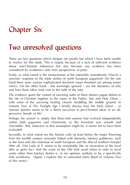# Chapter Six

## Two unresolved questions

There are two questions which intrigue me greatly but which I have been unable to resolve for this study. This is largely because of a lack of sufficient evidence about non-Christian influences but also because any evidence has been considered by academics only from perspectives of piety.

Firstly, to what extent is the trinitarianism of the ostensibly monotheistic Church a syncretic response to the triple deities of north European paganism? On the one hand there were various sophisticated doctrinal issues thrashed out among senior clerics. On the other hand – but seemingly ignored – are the dynamics of why and how these ideas took root in the faith of the laity.

The evidence spans the custom of swearing oaths to three distinct pagan deities to the rite of Christian baptism in the name of the Father, Son and Holy Ghost – with some of the surviving healing charms straddling the middle ground. In Volume Two of The Twilight Age I briefly discuss how the Holy Ghost – or *Sanctus Spiritus* seems to be a direct successor to pre-Christian ideas of an allpervasive 'breath of life'.

Perhaps the answer is simply that three-fold systems had evolved independently within both paganism and Christianity so the transition was smooth and 'inevitable'. But, seductive as that assumption might be, it seems not to have been evaluated.

Secondly, to what extent are the Marian cults (at least before the major flowering from the twelfth century onwards) linked with domestic tutelary goddesses, such as the *lares* and *dea matronae* of south European and the *dísir* of northern Europe? After all, 'Our Lady of X' seems to be remarkably like an invocation of the local *dísir* or *genii loci*. And the reuse of the Old Irish word *érlam* to refer to local saints rather than tutelary deities is, in my opinion, unlikely to be a specifically Irish worldview. (Again, I explore this in somewhat more detail in Volume Two of this series.)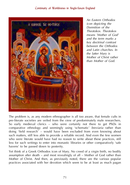

*An Eastern Orthodox icon depicting the Dormition of the Theotokos. Theotokos means 'Mother of God' and the term marks a key doctrinal contrast between the Orthodox and Latin churches. In the latter Mary is Mother of Christ rather than Mother of God.*

The problem is, as any modern ethnographer is all too aware, that female cults in pre-literate societies are veiled from the view of predominately male researchers. So early medieval clerics – who were certainly not there to get PhDs in comparative ethnology and seemingly using 'schematic' *breviaria* rather than doing 'field research' – would have been excluded from even knowing about such matters, still less able to provide a reliable record. And even the few women who were literate would have had no reason to write about these practices, still less for such writings to enter into monastic libraries or other comparatively 'safe havens' to be passed down to posterity.

Yet think of a Greek Orthodox icon of Mary. No creed of a virgin birth, no bodily assumption after death – and most revealingly of all – Mother of God rather than Mother of Christ. And then, as previously noted, there are the various popular practices associated with her devotion which seem to be at least as much pagan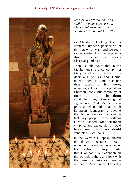

*Icon or idol? 'Madonna and Child' by Peter Eugene Ball. Photographed while on loan to Southwell Cathedral July 2008.*

as Christian. Looking from a western European perspective at this version of Mary and we seem to be looking into the eyes of a direct successor of various Classical goddesses.

There is little doubt that in the Mediterranean the iconography of Mary evolved directly from depictions of Isis and Horus. Indeed there is some evidence that statues of Isis were, unwittingly it seems, 'recycled' as Christian icons. But continuity of form tells us little about continuity, if any, of meaning and significance. And Mediterranean practices tell us little about north European iconography, beyond the blindingly obvious recognition that key people from northern Europe visited Mediterranean churches and cathedrals so would have seen, and no doubt venerated, such icons.

In the western European church the doctrines relating to Mary underwent considerable changes from the twelfth century onwards. But if we focus our attention on the era before then, and look with the same dispassionate gaze as we can at Mary in the Orthodox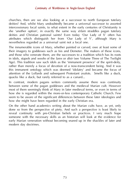churches, then are we also looking at a successor to north European tutelary deities? And, whilst Mary undoubtedly became a universal successor to assorted intercessionary local saints, to what extent in the early centuries of Christianity is she 'another option', in exactly the same way *érlam* straddles pagan tutelary deities and Christian patronal saints? Even today 'Our Lady of X' often has attributes which distinguish her from 'Our Lady of Y', although Mary is nevertheless regarded as a universal saint not a local one.

The innumerable icons of Mary, whether painted or carved, owe at least some of their imagery to goddesses such as Isis and Demeter. The makers of these icons, and those who venerate them, are the successors to a tradition which has its roots in idols, *stapols* and *weohs* of the *lares* or *dísir* (see Volume Three of The Twilight Age). This tradition saw such idols as the 'immanent presence' of the spirit-deity, rather than merely a focus of devotion of a now-transcendent being. And it was this immanent ontology which was deemed 'idolatry' and became the focus of attention of the Lollards and subsequent Protestant zealots. Smells like a duck, quacks like a duck, but rarely referred to as a canard...

In contrast, modern pagans writers commonly assume there was continuity between some of the pagan goddesses and the medieval Marian cult. However most of them seemingly think of Mary in later medieval terms, or even in terms of how she is regarded within the more-or-less contemporary Catholic Church. Few seem to be aware of the significant differences between these later ideologies and how she might have been regarded in the early Christian era.

On the other hand academics writing about the Marian cults have, as yet, only done so from the perspective of piety. And such a perspective is least likely to reveal continuity with pre-Christian beliefs or practices. I very much hope someone with the necessary skills as an historian will look at the evidence for early Marian veneration without becoming snared up in the shackles of later and modern day doctrines.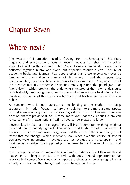# Chapter Seven

## Where next?

The wealth of information steadily flowing from archaeological, historical, linguistic and place-name experts in recent decades has shed an incredible amount of light on the supposed 'Dark Ages'. However this wealth is not neatly collected together in any one place, but dispersed through a vast literature of academic books and journals. Few people other than these experts can ever be familiar with more than a sample of the whole – and the experts too, understandably, may have little awareness of other disciplines. And, again for all the obvious reasons, academic disciplines rarely question the paradigms – or 'worldview' – which provides the underlying structures of their own endeavours. So it is doubly fascinating that at least some Anglo-Saxonists are beginning to look afresh at the nature of the distinction between pre-Christian and post-conversion beliefs.

As someone who is more accustomed to looking at the myths – or 'deep structures' – in modern Western culture than delving into the more arcane aspects of Anglo-Saxon society then the various suggestions I have put forward here can only be entirely provisional. So, if those more knowledgeable about the era can refute some of my assumptions I will, of course, be pleased to know.

Nevertheless I hope that these suggestions will inspire some further thoughts about the continuity of underlying worldviews which straddle the Christian conversion. I am not, I hasten to emphasise, suggesting that there was little or no change, but rather that the changes which inevitably took place over the course of several centuries were incremental – 'evolutionary not revolutionary' so to speak – and most certainly bridged the supposed gulf between the worldviews of pagans and converts.

If we accept the notion of 'micro-Christendoms' at a diocese level then we should expect those changes to be localised, with only limited opportunities for geographical spread. We should also expect the changes to be ongoing, albeit at a fairly slow pace – 'the changes will have changes' as it were.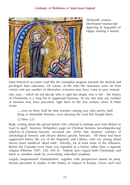

*Thirteenth century illuminated manuscript depicting St Augustine of Hippo refuting a heretic.*

Most historical accounts read like the triumphal progress towards the desired and privileged later outcomes. Of course, at the time the outcomes were far from certain and any number of alternative scenarios may have come to pass instead.

Like wars – which do not decide who is right but simply who is left – the history of Christianity is a long list of suppressed heresies. At any one time any number of heresies may have prevailed, right back to the first century when St Peter wrote:

... even as there shall be false teachers among you, who privily shall bring in damnable heresies, even denying the Lord that bought them.

(2 Peter 2:1)

Bede, writing about the period before 450, referred to bishops sent from Britain to Gaul to quell heresies. Wilipedia's page on Christian heresies (en.wikipedia.org/ wiki/List of Christian heresies accessed Jan 2016) lists fourteen varieties of christological heresey and eleven distinct gnostic heresies. All those had been suppressed before the era of the Bogomils and Cathars, who are among about eleven more medieval 'dead ends'. Literally, for at least some of the followers. Before the Crusades even Islam was regarded as a heresy rather than a separate religion (Fletcher 1997: 230; 304–5). Indeed, Jews regard both Christianity and Islam as mistakes made by overvaluing individual prophets.

Largely unquestioned 'triumphalism', together with perspectives based on piety, remain prevalent in studies of the history of religion in Europe. Given such lack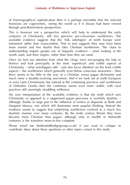of historiographical sophistication then it is perhaps inevitable that the relevant historians are cognicentric, seeing the world as if it always had been viewed through post-Reformation perspectives.

This is however not a perspective which will help to understand the early centuries of Christianity, still less perceive pre-conversion worldviews. The available evidence suggests that the 'folk ontologies' of north Europe were immanent rather than transcendent. That in turn suggests they may have been more monist and less dualist than later Christian worldviews. The clues to understanding require greater use of linguistic evidence – more looking *at* the words used, and their origins, rather than *how* they are used.

Once we turn our attention from what the clergy were encouraging the laity to believe and look principally at the most 'superficial' and visible aspects of Christianity – what worshippers *did* – and also focus attention on the least visible aspects – the worldviews which generally exist below conscious awareness – then there seems to be little in the way of a Christian *versus* pagan dichotomy and much more a steadily-evolving syncretism. And if we look not at north European or even Latin Christinianty but instead at the continuing practices and worldviews of Orthodox Greeks then the continuity seems even more visible, with rural practices still seemingly straddling millennia.

My own interpretation of the available evidence is that the myth which sees Christianity as opposed to a suppressed pagan precursor is woefully dualistic – although, thanks in large part to the influence of writers as disparate as Bede and Margaret Murray, one which still dominates most popular thinking. Instead the evidence seems to suggest that underlying worldviews evolved in a much less dualistic manner over many centuries. By the tenth century Britain they have become more Christian than pagan, although only in twelfth or thirteenth centuries is the transition more-or-less complete.

Please email me (bobtrubs@indigogroup.co.uk) if you want to critique or contribute ideas about these questions or other topics raised in this study.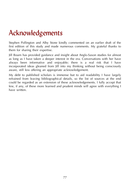# Acknowledgements

Stephen Pollington and Alby Stone kindly commented on an earlier draft of the first edition of this study and made numerous comments. My grateful thanks to them for sharing their expertise.

Jill Bourn has provided guidance and insight about Anglo-Saxon studies for almost as long as I have taken a deeper interest in the era. Conversations with her have always been informative and enjoyable; there is a real risk that I have incorporated ideas gleaned from Jill into my thinking without being consciously aware, still less offering an appropriate acknowledgement.

My debt to published scholars is immense but to aid readability I have largely refrained from leaving bibliographical details, so the list of sources at the end could be regarded as an extension of these acknowledgements. I fully accept that few, if any, of these more learned and prudent minds will agree with everything I have written.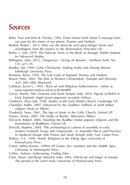## Sources

- Bahn, Paul and John R. Flenley, 1992*, Easter Island Earth Island A message from our past for the future of our planet,* Thames and Hudson.
- Bartlett, Robert , 2013, *Why can the dead do such great things? Saints and worshippers from the martyrs to the Reformation,* Princeton UP.
- Bieler, L. (ed), 1979, *The Patrician Texts in the Book of Armagh,* Dublin Institute for Advanced Studies.
- Billingsley, John, 2013, '*Onigawara –* facing off demons', *Northern Earth*, No. 135, p17–19.
- Bradley, Ian, 1999, *Celtic Christianity: Making myths and chasing dreams*, Edinburgh University Press.
- Branston, Brian, 1958, *The Lost Gods of England,* Thames and Hudson.
- Brown, Peter, 2003, *The Rise of Western Christendom, Triumph and Diversity, A.D. 200–1000,* Blackwell.
- Callahan, Kevin L., 1995, 'Rock art and lilliputian hallucinations', online at www.rupestre.net/tracce/tracce2b.html#lil
- Carver, Martin, Alex Sanmark and Sarah Semple (eds), 2010, *Signals of Belief in Early England: Anglo-Saxon paganism revisited*, Oxbow.
- Chadwick, Nora (ed), 1958, *Studies in the Early British Church*, Cambridge UP.
- Chandola, Sudha, 2007, *Entranced by the Goddess: Folklore in north Indian religion,* Heart of Albion.
- Chadwick, Nora, 1961, *The Age of Saints in the Celtic Church,* Oxford UP.
- Danser, Simon, 2005, *The Myths of Reality*, Alternative Albion.
- DeCaroli, Robert, 2004, *Haunting the Buddha: Indian popular religions and the formulation of Buddhism,* Oxford UP.
- Driscoll, Stephen, 2004, 'The archaeological context of assembly in early modern Scotland: Scone and comparanda', in *Assembly Places and Practices in Medieval Europe* Aliki Pantos and Sarah Semple (eds), Four Courts Press.
- DuBois, T.A., 1999, *Nordic Religions in the Viking Age,* University of Pennsylvania Press.
- Cohen, Jeffrey Jerome, 1999m *Of Giants: Sex, monsters and the Middle Ages*, University of Minneapolis Press.
- Collins, Andrew, forthcoming, *Finding Eden.*
- Clark, Stuart, and Bengt Ankarloo (eds), 2002, *Witchcraft and Magic in Europe: The period of the witch trials*, University of Pennsylvania Press.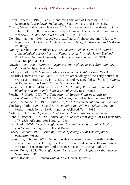- Creed, Robert P., 1989, 'Beowulf and the Language of Hoarding.' in C.L. Redman (ed), *Medieval Archaeology,* State University of New York.
- Crosby, Vicky and Nicola Hembrey, 2013, 'An evaluation in the fields south of Silbury Hill in 2010: Romano-British settlement, later alluviation and water meadows', in *Wiltshire Studies*, Vol. 106, p101–67.
- Denning, Kathryn, 1999, 'Apocalypse past/future: Archaeology and folklore, writ large', in C. Holtorf and A. Gazin-Schwartz (eds), *Archaeology and Folklore*, Routledge.
- Dooley-Fairchild, Sira Madalena, 2012, *Material Belief: A critical history of archaeological approaches to religious change in Anglo-Saxon England*, PhD thesis Durham University; online at etheses.dur.ac.uk/5899/1/ Sira\_PhD.pdf?DDD6+
- Dowden, Ken, 2000, *European Paganism: The realities of cult from antiquity to the Middle Ages*, Routledge.
- Earle, Joe (ed), 2009, *Serizawa: Master of Japanese textile design*, Yale UP.
- Edwards, Nancy and Alan Lane, 1992, 'The archaeology of the early church in Wales: an introduction', in N. Edwards and A. Lane (eds), *The Early Church of Wales and the West,* Oxbow Monograph 16.
- Fauconnier, Gilles and Mark Turner, 2002, *The Way We Think: Conceptual blending and the mind's hidden complexities,* Basic Books.
- Fletcher, Richard, 1997, *The Conversion of Europe: From paganism to Christianity 371–1386 AD*, HarperCollins; second edition Fontana 1998.
- Flood, Christopher G., 1996, *Political myth: A theoretical introduction*, Garland.
- Ginzburg, Carlo, 1991, *Ecstasies: Deciphering the Witches' Sabbath*, Random House; translation of *Storia notturna* published Turin 1989.
- Griffiths, Bill, 1996, *Aspects of Anglo-Saxon Magic,* Anglo-Saxon Books.
- Richard Fletcher, 1997, *The Conversion of Europe: From paganism to Christianity 371–1386 AD*; 2nd edn Fontana 1998.
- Hall, Alaric, 2007, *Elves in Anglo-Saxon England: Matters of belief, health, gender and identity,* Boydell and Brewer.
- Harvey, Graham, 1997, *Listening People, Speaking Earth: Contemporary paganism*, Hurst.
- Håland, Evy Johanne, 2012, 'When the dead ensure the food: death and the regeneration of life through the festivals, food and social gathering during the ritual year in modern and ancient Greece', in *Cosmos* Vol. 28.
- Hooke, Della, 1985, *The Anglo-Saxon Landscape: the kingdom of the Hwicce* Manchester UP.
- Hutton, Ronald, 2013, *Pagan Britain,* Yale University Press.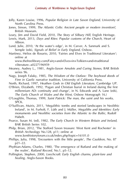- Jolly, Karen Louise, 1996, *Popular Religion in Late Saxon England,* University of North Carolina Press.
- Jones, Simon, 1999, *The Atlantic Celts: Ancient people or modern invention?,* British Museum.
- Leary, Jim and David Field, 2010, *The Story of Silbury Hill,* English Heritage.
- Lewis, Mark, 2013, *Days and Rites: Popular customs of the Church,* Heart of Albion.
- Lund, Julie, 2010, 'At the water's edge', in M. Carver, A. Sanmark and S. Semple (eds), *Signals of Belief in Early England,* Oxbow.
- Martinez, Helios de Rosario, 2010, 'Fairies and Elves in Traditional Literature'; online at

www.thefreelibrary.com/Fairy+and+Elves+in+Tolkien+and+traditional +literature.-a0227196959

- Meaney, Audrey L., 1981, *Anglo-Saxon Amulets and Curing Stones,* BAR British series 96.
- Nagy, Joseph Falaky, 1985, *The Wisdom of the Outlaw: The boyhood deeds of Finn in Gaelic narrative tradition*, University of California Press.
- North, Richard, 1997, *Heathen Gods in Old English Literature,* Cambridge UP.
- O'Brien, Elizabeth, 1992, 'Pagan and Christian burial in Ireland during the first millennium AD: continuity and change', in N. Edwards and A. Lane (eds), *The Early Church of Wales and the West,* Oxbow Monograph 16.)
- O'Loughlin, Thomas, 1999, *Saint Patrick: The man, the saint and his works,* SPCK.
- O'Suillivan, Muiris, 2011, 'Megalithic tombs and storied landscapes in Neolithic Ireland', in M. Furholt, F. Lüth and J. Müller, *Megaliths and Identities: Early monuments and Neolithic societies from the Atlantic to the Baltic*, Rudolf Habelt.
- Pearce, Susan M. (ed), 1982, *The Early Church in Western Britain and Ireland,* BAR British Series 102.
- Philp, Brian, 2012, 'The Stafford Saxon treasure: West Kent and Rochester' in *British Archeology* No.128, p11; online at

www.kenthistoryforum.co.uk/index.php?topic=16101.0

- Phillips, Julia, 1998, 'Encounters with the little people', *The Cauldron,* No. 87 p21–22.
- Phythian-Adams, Charles, 1980, 'The emergence of Rutland and the making of the realm', *Rutland Record*, No.1, p5–12.
- Pollington, Stephen, 2000, *Leechcraft: Early English charms, plant-lore and healing,* Anglo-Saxon Books.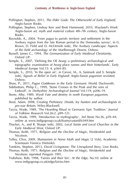- Pollington, Stephen, 2011, *The Elder Gods: The Otherworld of Early England*, Anglo-Saxon Books.
- Pollington, Stephen, Lindsay Kerr and Brett Hammond, 2010, *Wayland's Work: Anglo-Saxon art, myth and material culture 4th–7th century*, Anglo-Saxon Books.
- Reynolds, A., 2004, 'From *pagus* to parish: territory and settlement in the Avebury region from the late Roman period to the Domesday survey', in G. Brown, D. Field and D. McOrmish (eds), *The Avebury Landscape: Aspects of the field archaeology of the Marlborough Downs,* Oxbow.
- Russell, James C., 1994, *The Germanization of Early Medieval Christianity,* Oxford UP.
- Semple, S., 2007, 'Defining the OE *hearg*: a preliminary archaeological and topographic examination of *hearg* place names and their hinterlands', *Early Medieval Europe* Vol.15: 4, p364–85.
- Semple, S., 2010, 'In the open air', in Carver, M., A. Sanmark and S. Semple (eds), *Signals of Belief in Early England: Anglo-Saxon paganism revisited*, Oxbow.

Shaw, P., 2011, *Pagan Goddesses in the Early Germanic World,* Duckworth.

- Sidebottom, Philip C., 1999, 'Stone Crosses in the Peak and the sons of Eadwulf', in *Derbyshire Archaeological* J*ournal* Vol.119, p206–19.
- Stone, Alby, 1989, *Wyrd: Fate and destiny in north European paganism*, published by author.
- Stout, Adam, 2008, *Creating Prehistory: Druids, ley hunters and archaeologists in pre-war Britain*, Wiley-Blackwell.
- Tarzia, Wade, 1989, 'The Hoarding Ritual in Germanic Epic Tradition.' *Journal of Folklore Research* Vol.26:2, p99–121.
- Tarzia, Wade, 1999, 'Introduction to mythography', *3rd Stone* No.36, p39–44; online at www.indigogroup.co.uk/foamycustard/fc049.htm
- Thacker, A., and R. Sharpe (eds), 2002, *Local Saints and Local Churches in the Early Medieval West*, Oxford UP.
- Thomas, Keith, 1971, *Religion and the Decline of Magic*, Weidenfeld and Nicolson.
- Tolley, Clive, 2009, *Shamanism in Norse Myth and Magic* (2 Vols), Academia Scientaum Fennica (Helsinki).
- Tomkins, Stephen, 2013, *David Livingstone: The Unexplored Story,* Lion Books.
- Thomas, Keith, 1971, *Religion and the Decline of Magic*, Weidenfeld and Nicolson; reprinted Penguin 1991.
- Trubshaw, Bob, 1998, 'Fairies and their kin', *At the Edge,* No.10; online at www.indigogroup.co.uk/edge/fairies.htm